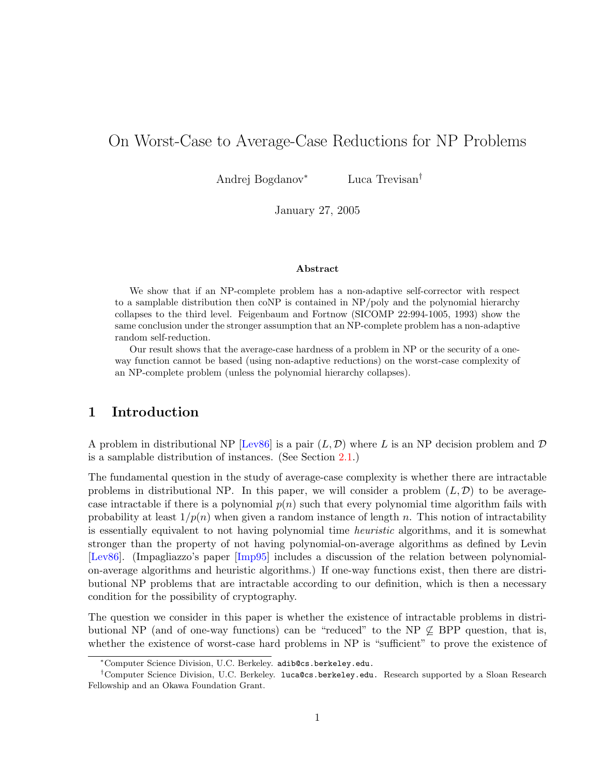# <span id="page-0-0"></span>On Worst-Case to Average-Case Reductions for NP Problems

Andrej Bogdanov<sup>∗</sup> Luca Trevisan†

January 27, 2005

#### Abstract

We show that if an NP-complete problem has a non-adaptive self-corrector with respect to a samplable distribution then coNP is contained in NP/poly and the polynomial hierarchy collapses to the third level. Feigenbaum and Fortnow (SICOMP 22:994-1005, 1993) show the same conclusion under the stronger assumption that an NP-complete problem has a non-adaptive random self-reduction.

Our result shows that the average-case hardness of a problem in NP or the security of a oneway function cannot be based (using non-adaptive reductions) on the worst-case complexity of an NP-complete problem (unless the polynomial hierarchy collapses).

# 1 Introduction

A problem in distributional NP  $[Lev86]$  is a pair  $(L, \mathcal{D})$  where L is an NP decision problem and  $\mathcal D$ is a samplable distribution of instances. (See Section [2.1.](#page-7-0))

The fundamental question in the study of average-case complexity is whether there are intractable problems in distributional NP. In this paper, we will consider a problem  $(L, \mathcal{D})$  to be averagecase intractable if there is a polynomial  $p(n)$  such that every polynomial time algorithm fails with probability at least  $1/p(n)$  when given a random instance of length n. This notion of intractability is essentially equivalent to not having polynomial time heuristic algorithms, and it is somewhat stronger than the property of not having polynomial-on-average algorithms as defined by Levin [\[Lev86\]](#page-24-0). (Impagliazzo's paper [\[Imp95\]](#page-24-1) includes a discussion of the relation between polynomialon-average algorithms and heuristic algorithms.) If one-way functions exist, then there are distributional NP problems that are intractable according to our definition, which is then a necessary condition for the possibility of cryptography.

The question we consider in this paper is whether the existence of intractable problems in distributional NP (and of one-way functions) can be "reduced" to the NP  $\nsubseteq$  BPP question, that is, whether the existence of worst-case hard problems in NP is "sufficient" to prove the existence of

<sup>∗</sup>Computer Science Division, U.C. Berkeley. adib@cs.berkeley.edu.

<sup>†</sup>Computer Science Division, U.C. Berkeley. luca@cs.berkeley.edu. Research supported by a Sloan Research Fellowship and an Okawa Foundation Grant.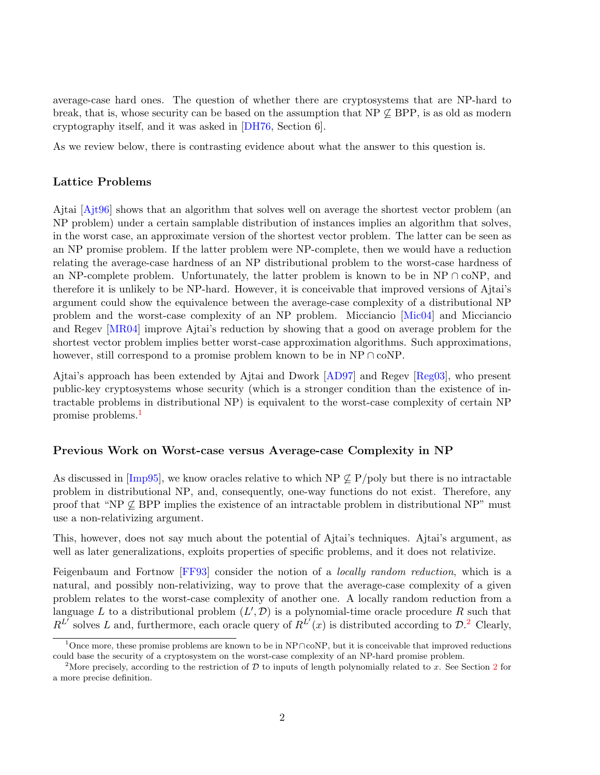<span id="page-1-2"></span>average-case hard ones. The question of whether there are cryptosystems that are NP-hard to break, that is, whose security can be based on the assumption that  $NP \not\subseteq BPP$ , is as old as modern cryptography itself, and it was asked in [\[DH76,](#page-24-2) Section 6].

As we review below, there is contrasting evidence about what the answer to this question is.

#### Lattice Problems

Ajtai [\[Ajt96\]](#page-23-0) shows that an algorithm that solves well on average the shortest vector problem (an NP problem) under a certain samplable distribution of instances implies an algorithm that solves, in the worst case, an approximate version of the shortest vector problem. The latter can be seen as an NP promise problem. If the latter problem were NP-complete, then we would have a reduction relating the average-case hardness of an NP distributional problem to the worst-case hardness of an NP-complete problem. Unfortunately, the latter problem is known to be in NP ∩ coNP, and therefore it is unlikely to be NP-hard. However, it is conceivable that improved versions of Ajtai's argument could show the equivalence between the average-case complexity of a distributional NP problem and the worst-case complexity of an NP problem. Micciancio [\[Mic04\]](#page-25-0) and Micciancio and Regev [\[MR04\]](#page-25-1) improve Ajtai's reduction by showing that a good on average problem for the shortest vector problem implies better worst-case approximation algorithms. Such approximations, however, still correspond to a promise problem known to be in NP  $\cap$  coNP.

Ajtai's approach has been extended by Ajtai and Dwork [\[AD97\]](#page-23-1) and Regev [\[Reg03\]](#page-25-2), who present public-key cryptosystems whose security (which is a stronger condition than the existence of intractable problems in distributional NP) is equivalent to the worst-case complexity of certain NP promise problems.[1](#page-1-0)

#### Previous Work on Worst-case versus Average-case Complexity in NP

As discussed in [\[Imp95\]](#page-24-1), we know oracles relative to which NP  $\&$  P/poly but there is no intractable problem in distributional NP, and, consequently, one-way functions do not exist. Therefore, any proof that "NP  $\&$  BPP implies the existence of an intractable problem in distributional NP" must use a non-relativizing argument.

This, however, does not say much about the potential of Ajtai's techniques. Ajtai's argument, as well as later generalizations, exploits properties of specific problems, and it does not relativize.

Feigenbaum and Fortnow [\[FF93\]](#page-24-3) consider the notion of a locally random reduction, which is a natural, and possibly non-relativizing, way to prove that the average-case complexity of a given problem relates to the worst-case complexity of another one. A locally random reduction from a language L to a distributional problem  $(L', \mathcal{D})$  is a polynomial-time oracle procedure R such that  $R^{L}$  solves L and, furthermore, each oracle query of  $R^{L'}(x)$  is distributed according to  $\mathcal{D}^{2}$  $\mathcal{D}^{2}$  $\mathcal{D}^{2}$ . Clearly,

<span id="page-1-0"></span><sup>1</sup>Once more, these promise problems are known to be in NP∩coNP, but it is conceivable that improved reductions could base the security of a cryptosystem on the worst-case complexity of an NP-hard promise problem.

<span id="page-1-1"></span><sup>&</sup>lt;sup>[2](#page-7-1)</sup>More precisely, according to the restriction of  $D$  to inputs of length polynomially related to x. See Section 2 for a more precise definition.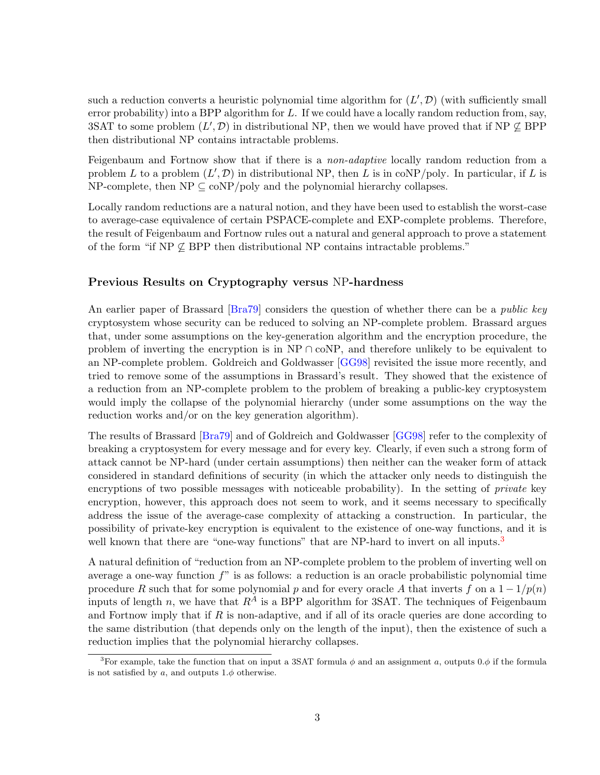<span id="page-2-1"></span>such a reduction converts a heuristic polynomial time algorithm for  $(L', \mathcal{D})$  (with sufficiently small error probability) into a BPP algorithm for  $L$ . If we could have a locally random reduction from, say, 3SAT to some problem  $(L', \mathcal{D})$  in distributional NP, then we would have proved that if NP  $\nsubseteq$  BPP then distributional NP contains intractable problems.

Feigenbaum and Fortnow show that if there is a *non-adaptive* locally random reduction from a problem L to a problem  $(L', \mathcal{D})$  in distributional NP, then L is in coNP/poly. In particular, if L is NP-complete, then  $NP \subseteq \text{coNP}/\text{poly}$  and the polynomial hierarchy collapses.

Locally random reductions are a natural notion, and they have been used to establish the worst-case to average-case equivalence of certain PSPACE-complete and EXP-complete problems. Therefore, the result of Feigenbaum and Fortnow rules out a natural and general approach to prove a statement of the form "if  $NP \not\subseteq BPP$  then distributional NP contains intractable problems."

#### Previous Results on Cryptography versus NP-hardness

An earlier paper of Brassard [\[Bra79\]](#page-24-4) considers the question of whether there can be a *public key* cryptosystem whose security can be reduced to solving an NP-complete problem. Brassard argues that, under some assumptions on the key-generation algorithm and the encryption procedure, the problem of inverting the encryption is in  $NP \cap coNP$ , and therefore unlikely to be equivalent to an NP-complete problem. Goldreich and Goldwasser [\[GG98\]](#page-24-5) revisited the issue more recently, and tried to remove some of the assumptions in Brassard's result. They showed that the existence of a reduction from an NP-complete problem to the problem of breaking a public-key cryptosystem would imply the collapse of the polynomial hierarchy (under some assumptions on the way the reduction works and/or on the key generation algorithm).

The results of Brassard [\[Bra79\]](#page-24-4) and of Goldreich and Goldwasser [\[GG98\]](#page-24-5) refer to the complexity of breaking a cryptosystem for every message and for every key. Clearly, if even such a strong form of attack cannot be NP-hard (under certain assumptions) then neither can the weaker form of attack considered in standard definitions of security (in which the attacker only needs to distinguish the encryptions of two possible messages with noticeable probability). In the setting of *private* key encryption, however, this approach does not seem to work, and it seems necessary to specifically address the issue of the average-case complexity of attacking a construction. In particular, the possibility of private-key encryption is equivalent to the existence of one-way functions, and it is well known that there are "one-way functions" that are NP-hard to invert on all inputs.<sup>[3](#page-2-0)</sup>

A natural definition of "reduction from an NP-complete problem to the problem of inverting well on average a one-way function f" is as follows: a reduction is an oracle probabilistic polynomial time procedure R such that for some polynomial p and for every oracle A that inverts f on a  $1 - 1/p(n)$ inputs of length n, we have that  $R^A$  is a BPP algorithm for 3SAT. The techniques of Feigenbaum and Fortnow imply that if  $R$  is non-adaptive, and if all of its oracle queries are done according to the same distribution (that depends only on the length of the input), then the existence of such a reduction implies that the polynomial hierarchy collapses.

<span id="page-2-0"></span><sup>&</sup>lt;sup>3</sup>For example, take the function that on input a 3SAT formula  $\phi$  and an assignment a, outputs 0. $\phi$  if the formula is not satisfied by a, and outputs  $1.\phi$  otherwise.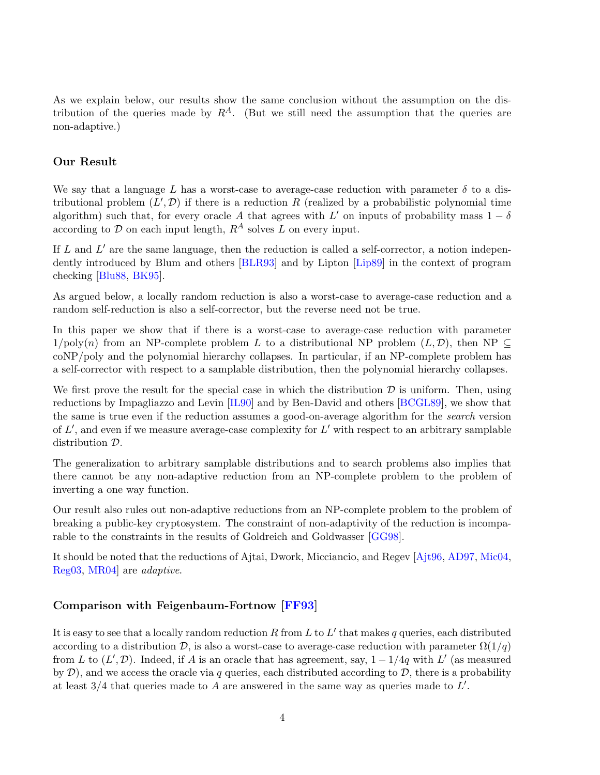<span id="page-3-0"></span>As we explain below, our results show the same conclusion without the assumption on the distribution of the queries made by  $R^A$ . (But we still need the assumption that the queries are non-adaptive.)

### Our Result

We say that a language L has a worst-case to average-case reduction with parameter  $\delta$  to a distributional problem  $(L', \mathcal{D})$  if there is a reduction R (realized by a probabilistic polynomial time algorithm) such that, for every oracle A that agrees with L' on inputs of probability mass  $1 - \delta$ according to  $\mathcal D$  on each input length,  $R^A$  solves L on every input.

If  $L$  and  $L'$  are the same language, then the reduction is called a self-corrector, a notion independently introduced by Blum and others [\[BLR93\]](#page-24-6) and by Lipton [\[Lip89\]](#page-24-7) in the context of program checking [\[Blu88,](#page-24-8) [BK95\]](#page-24-9).

As argued below, a locally random reduction is also a worst-case to average-case reduction and a random self-reduction is also a self-corrector, but the reverse need not be true.

In this paper we show that if there is a worst-case to average-case reduction with parameter  $1/poly(n)$  from an NP-complete problem L to a distributional NP problem  $(L, \mathcal{D})$ , then NP  $\subset$ coNP/poly and the polynomial hierarchy collapses. In particular, if an NP-complete problem has a self-corrector with respect to a samplable distribution, then the polynomial hierarchy collapses.

We first prove the result for the special case in which the distribution  $\mathcal D$  is uniform. Then, using reductions by Impagliazzo and Levin [\[IL90\]](#page-24-10) and by Ben-David and others [\[BCGL89\]](#page-23-2), we show that the same is true even if the reduction assumes a good-on-average algorithm for the search version of  $L'$ , and even if we measure average-case complexity for  $L'$  with respect to an arbitrary samplable distribution D.

The generalization to arbitrary samplable distributions and to search problems also implies that there cannot be any non-adaptive reduction from an NP-complete problem to the problem of inverting a one way function.

Our result also rules out non-adaptive reductions from an NP-complete problem to the problem of breaking a public-key cryptosystem. The constraint of non-adaptivity of the reduction is incomparable to the constraints in the results of Goldreich and Goldwasser [\[GG98\]](#page-24-5).

It should be noted that the reductions of Ajtai, Dwork, Micciancio, and Regev [\[Ajt96,](#page-23-0) [AD97,](#page-23-1) [Mic04,](#page-25-0) [Reg03,](#page-25-2) [MR04\]](#page-25-1) are adaptive.

### Comparison with Feigenbaum-Fortnow [\[FF93\]](#page-24-3)

It is easy to see that a locally random reduction R from L to L' that makes q queries, each distributed according to a distribution  $\mathcal{D}$ , is also a worst-case to average-case reduction with parameter  $\Omega(1/q)$ from L to  $(L', \mathcal{D})$ . Indeed, if A is an oracle that has agreement, say,  $1 - 1/4q$  with L' (as measured by  $\mathcal{D}$ ), and we access the oracle via q queries, each distributed according to  $\mathcal{D}$ , there is a probability at least  $3/4$  that queries made to A are answered in the same way as queries made to  $L'$ .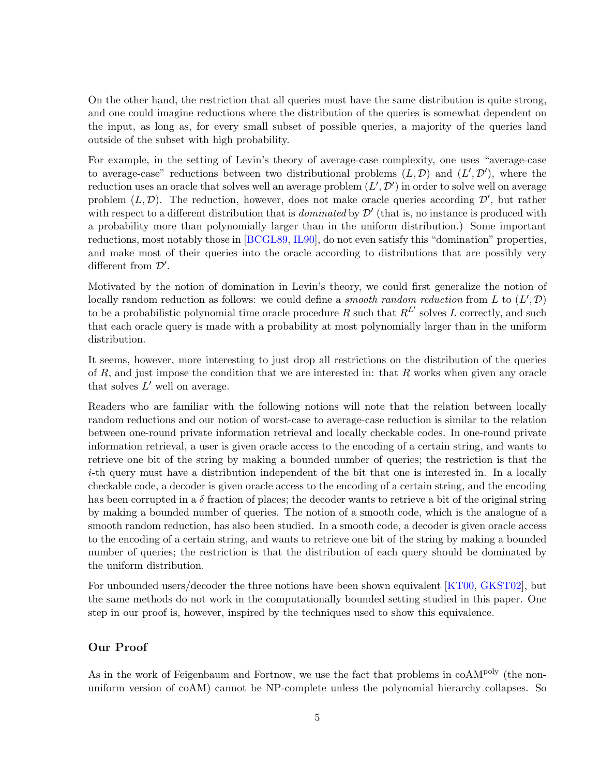<span id="page-4-0"></span>On the other hand, the restriction that all queries must have the same distribution is quite strong, and one could imagine reductions where the distribution of the queries is somewhat dependent on the input, as long as, for every small subset of possible queries, a majority of the queries land outside of the subset with high probability.

For example, in the setting of Levin's theory of average-case complexity, one uses "average-case to average-case" reductions between two distributional problems  $(L, \mathcal{D})$  and  $(L', \mathcal{D}')$ , where the reduction uses an oracle that solves well an average problem  $(L', \mathcal{D}')$  in order to solve well on average problem  $(L, \mathcal{D})$ . The reduction, however, does not make oracle queries according  $\mathcal{D}'$ , but rather with respect to a different distribution that is *dominated* by  $\mathcal{D}'$  (that is, no instance is produced with a probability more than polynomially larger than in the uniform distribution.) Some important reductions, most notably those in [\[BCGL89,](#page-23-2) [IL90\]](#page-24-10), do not even satisfy this "domination" properties, and make most of their queries into the oracle according to distributions that are possibly very different from  $\mathcal{D}'$ .

Motivated by the notion of domination in Levin's theory, we could first generalize the notion of locally random reduction as follows: we could define a *smooth random reduction* from L to  $(L', \mathcal{D})$ to be a probabilistic polynomial time oracle procedure R such that  $R^{L'}$  solves L correctly, and such that each oracle query is made with a probability at most polynomially larger than in the uniform distribution.

It seems, however, more interesting to just drop all restrictions on the distribution of the queries of R, and just impose the condition that we are interested in: that R works when given any oracle that solves  $L'$  well on average.

Readers who are familiar with the following notions will note that the relation between locally random reductions and our notion of worst-case to average-case reduction is similar to the relation between one-round private information retrieval and locally checkable codes. In one-round private information retrieval, a user is given oracle access to the encoding of a certain string, and wants to retrieve one bit of the string by making a bounded number of queries; the restriction is that the i-th query must have a distribution independent of the bit that one is interested in. In a locally checkable code, a decoder is given oracle access to the encoding of a certain string, and the encoding has been corrupted in a  $\delta$  fraction of places; the decoder wants to retrieve a bit of the original string by making a bounded number of queries. The notion of a smooth code, which is the analogue of a smooth random reduction, has also been studied. In a smooth code, a decoder is given oracle access to the encoding of a certain string, and wants to retrieve one bit of the string by making a bounded number of queries; the restriction is that the distribution of each query should be dominated by the uniform distribution.

For unbounded users/decoder the three notions have been shown equivalent [\[KT00,](#page-24-11) [GKST02\]](#page-24-12), but the same methods do not work in the computationally bounded setting studied in this paper. One step in our proof is, however, inspired by the techniques used to show this equivalence.

# Our Proof

As in the work of Feigenbaum and Fortnow, we use the fact that problems in  $coAM<sup>poly</sup>$  (the nonuniform version of coAM) cannot be NP-complete unless the polynomial hierarchy collapses. So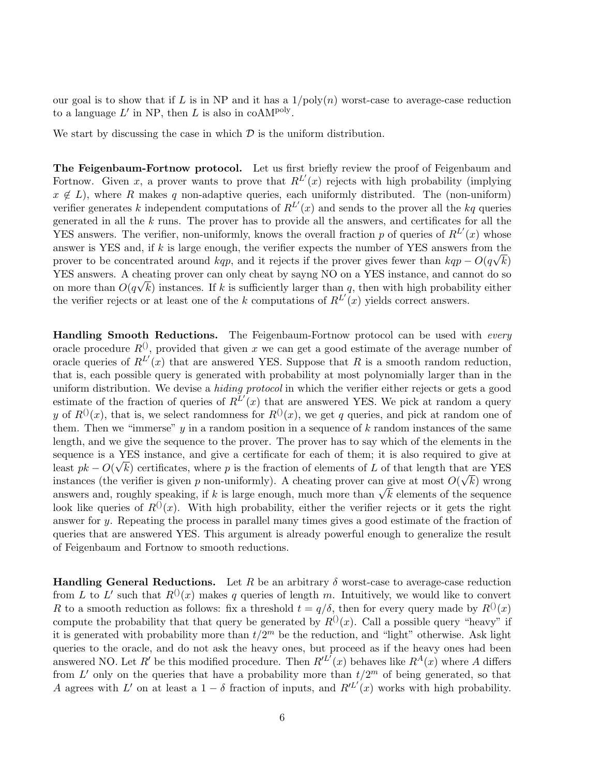our goal is to show that if L is in NP and it has a  $1/poly(n)$  worst-case to average-case reduction to a language  $L'$  in NP, then L is also in coAM<sup>poly</sup>.

We start by discussing the case in which  $\mathcal D$  is the uniform distribution.

The Feigenbaum-Fortnow protocol. Let us first briefly review the proof of Feigenbaum and Fortnow. Given x, a prover wants to prove that  $R^{L'}(x)$  rejects with high probability (implying  $x \notin L$ , where R makes q non-adaptive queries, each uniformly distributed. The (non-uniform) verifier generates k independent computations of  $R^{L'}(x)$  and sends to the prover all the kq queries generated in all the  $k$  runs. The prover has to provide all the answers, and certificates for all the YES answers. The verifier, non-uniformly, knows the overall fraction p of queries of  $R^{L'}(x)$  whose answer is YES and, if k is large enough, the verifier expects the number of YES answers from the prover to be concentrated around kqp, and it rejects if the prover gives fewer than  $kqp - O(q\sqrt{k})$ YES answers. A cheating prover can only cheat by sayng NO on a YES instance, and cannot do so on more than  $O(q\sqrt{k})$  instances. If k is sufficiently larger than q, then with high probability either the verifier rejects or at least one of the k computations of  $R^{L'}(x)$  yields correct answers.

**Handling Smooth Reductions.** The Feigenbaum-Fortnow protocol can be used with *every* oracle procedure  $R^{(1)}$ , provided that given x we can get a good estimate of the average number of oracle queries of  $R^{L'}(x)$  that are answered YES. Suppose that R is a smooth random reduction, that is, each possible query is generated with probability at most polynomially larger than in the uniform distribution. We devise a *hiding protocol* in which the verifier either rejects or gets a good estimate of the fraction of queries of  $R^{L'}(x)$  that are answered YES. We pick at random a query y of  $R^{(0)}(x)$ , that is, we select randomness for  $R^{(0)}(x)$ , we get q queries, and pick at random one of them. Then we "immerse"  $y$  in a random position in a sequence of  $k$  random instances of the same length, and we give the sequence to the prover. The prover has to say which of the elements in the sequence is a YES instance, and give a certificate for each of them; it is also required to give at least  $pk - O(\sqrt{k})$  certificates, where p is the fraction of elements of L of that length that are YES instances (the verifier is given p non-uniformly). A cheating prover can give at most  $O(\sqrt{k})$  wrong instances (the verifier is given p non-uniformly). A cheating prover can give at most  $O(\sqrt{\kappa})$  wrong<br>answers and, roughly speaking, if k is large enough, much more than  $\sqrt{k}$  elements of the sequence look like queries of  $R^{(1)}(x)$ . With high probability, either the verifier rejects or it gets the right answer for y. Repeating the process in parallel many times gives a good estimate of the fraction of queries that are answered YES. This argument is already powerful enough to generalize the result of Feigenbaum and Fortnow to smooth reductions.

**Handling General Reductions.** Let R be an arbitrary  $\delta$  worst-case to average-case reduction from L to L' such that  $R^{(0)}(x)$  makes q queries of length m. Intuitively, we would like to convert R to a smooth reduction as follows: fix a threshold  $t = q/\delta$ , then for every query made by  $R^{(1)}(x)$ compute the probability that that query be generated by  $R^{(1)}(x)$ . Call a possible query "heavy" if it is generated with probability more than  $t/2^m$  be the reduction, and "light" otherwise. Ask light queries to the oracle, and do not ask the heavy ones, but proceed as if the heavy ones had been answered NO. Let R' be this modified procedure. Then  $R^{l\bar{l}'}(x)$  behaves like  $R^{A}(x)$  where A differs from L' only on the queries that have a probability more than  $t/2^m$  of being generated, so that A agrees with L' on at least a  $1-\delta$  fraction of inputs, and  $R^{(L)}(x)$  works with high probability.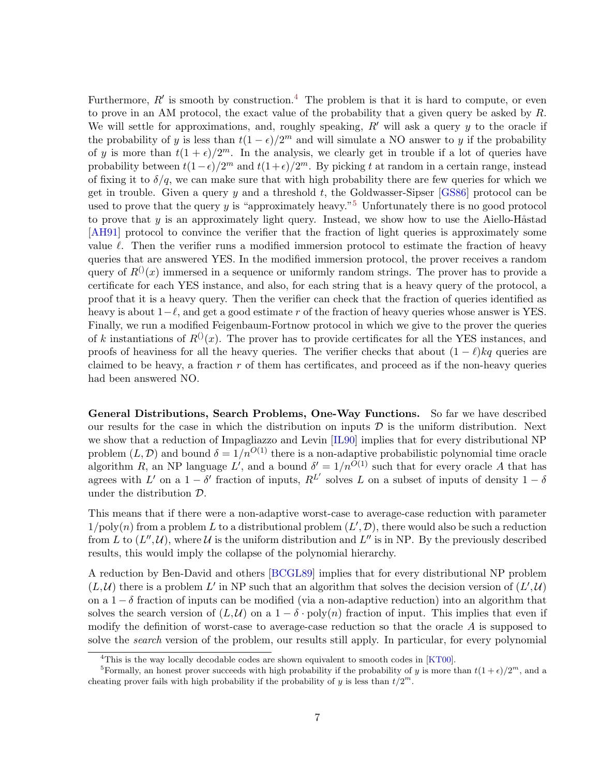<span id="page-6-2"></span>Furthermore,  $R'$  is smooth by construction.<sup>[4](#page-6-0)</sup> The problem is that it is hard to compute, or even to prove in an AM protocol, the exact value of the probability that a given query be asked by  $R$ . We will settle for approximations, and, roughly speaking,  $R'$  will ask a query y to the oracle if the probability of y is less than  $t(1 - \epsilon)/2^m$  and will simulate a NO answer to y if the probability of y is more than  $t(1+\epsilon)/2^m$ . In the analysis, we clearly get in trouble if a lot of queries have probability between  $t(1-\epsilon)/2^m$  and  $t(1+\epsilon)/2^m$ . By picking t at random in a certain range, instead of fixing it to  $\delta/q$ , we can make sure that with high probability there are few queries for which we get in trouble. Given a query y and a threshold t, the Goldwasser-Sipser  $[GSS6]$  protocol can be used to prove that the query y is "approximately heavy."<sup>[5](#page-6-1)</sup> Unfortunately there is no good protocol to prove that  $y$  is an approximately light query. Instead, we show how to use the Aiello-H $\hat{\text{a}}$ stad [\[AH91\]](#page-23-3) protocol to convince the verifier that the fraction of light queries is approximately some value  $\ell$ . Then the verifier runs a modified immersion protocol to estimate the fraction of heavy queries that are answered YES. In the modified immersion protocol, the prover receives a random query of  $R^{(i)}(x)$  immersed in a sequence or uniformly random strings. The prover has to provide a certificate for each YES instance, and also, for each string that is a heavy query of the protocol, a proof that it is a heavy query. Then the verifier can check that the fraction of queries identified as heavy is about  $1-\ell$ , and get a good estimate r of the fraction of heavy queries whose answer is YES. Finally, we run a modified Feigenbaum-Fortnow protocol in which we give to the prover the queries of k instantiations of  $R^{(1)}(x)$ . The prover has to provide certificates for all the YES instances, and proofs of heaviness for all the heavy queries. The verifier checks that about  $(1 - \ell)kq$  queries are claimed to be heavy, a fraction  $r$  of them has certificates, and proceed as if the non-heavy queries had been answered NO.

General Distributions, Search Problems, One-Way Functions. So far we have described our results for the case in which the distribution on inputs  $D$  is the uniform distribution. Next we show that a reduction of Impagliazzo and Levin [\[IL90\]](#page-24-10) implies that for every distributional NP problem  $(L, \mathcal{D})$  and bound  $\delta = 1/n^{O(1)}$  there is a non-adaptive probabilistic polynomial time oracle algorithm R, an NP language L', and a bound  $\delta' = 1/n^{O(1)}$  such that for every oracle A that has agrees with L' on a  $1 - \delta'$  fraction of inputs,  $R^{L'}$  solves L on a subset of inputs of density  $1 - \delta$ under the distribution D.

This means that if there were a non-adaptive worst-case to average-case reduction with parameter  $1/\text{poly}(n)$  from a problem L to a distributional problem  $(L', \mathcal{D})$ , there would also be such a reduction from L to  $(L'',\mathcal{U})$ , where U is the uniform distribution and  $L''$  is in NP. By the previously described results, this would imply the collapse of the polynomial hierarchy.

A reduction by Ben-David and others [\[BCGL89\]](#page-23-2) implies that for every distributional NP problem  $(L, \mathcal{U})$  there is a problem L' in NP such that an algorithm that solves the decision version of  $(L', \mathcal{U})$ on a  $1 - \delta$  fraction of inputs can be modified (via a non-adaptive reduction) into an algorithm that solves the search version of  $(L, \mathcal{U})$  on a  $1 - \delta \cdot \text{poly}(n)$  fraction of input. This implies that even if modify the definition of worst-case to average-case reduction so that the oracle  $A$  is supposed to solve the *search* version of the problem, our results still apply. In particular, for every polynomial

<span id="page-6-1"></span><span id="page-6-0"></span> $4$ This is the way locally decodable codes are shown equivalent to smooth codes in [\[KT00\]](#page-24-11).

<sup>&</sup>lt;sup>5</sup>Formally, an honest prover succeeds with high probability if the probability of y is more than  $t(1+\epsilon)/2^m$ , and a cheating prover fails with high probability if the probability of y is less than  $t/2^m$ .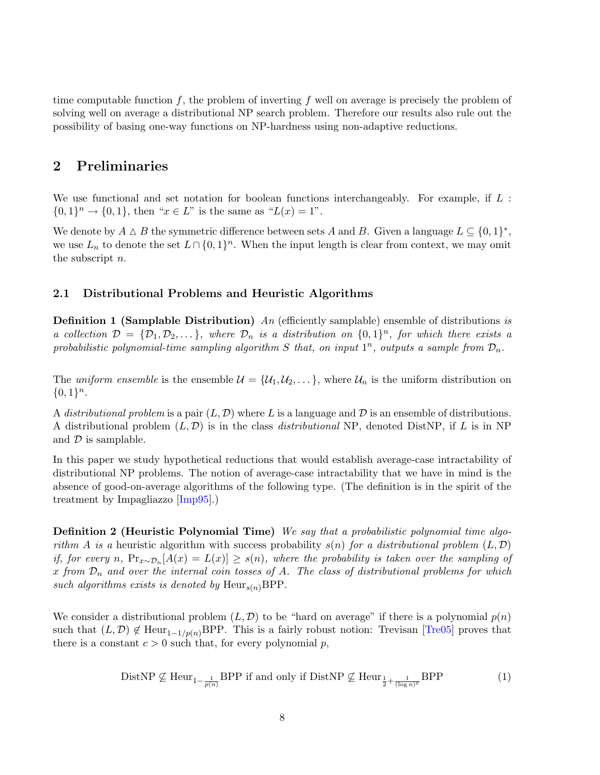<span id="page-7-2"></span>time computable function f, the problem of inverting f well on average is precisely the problem of solving well on average a distributional NP search problem. Therefore our results also rule out the possibility of basing one-way functions on NP-hardness using non-adaptive reductions.

# <span id="page-7-1"></span>2 Preliminaries

We use functional and set notation for boolean functions interchangeably. For example, if  $L$ :  $\{0,1\}^n \to \{0,1\}$ , then " $x \in L$ " is the same as " $L(x) = 1$ ".

We denote by  $A \Delta B$  the symmetric difference between sets A and B. Given a language  $L \subseteq \{0,1\}^*$ , we use  $L_n$  to denote the set  $L \cap \{0,1\}^n$ . When the input length is clear from context, we may omit the subscript n.

### <span id="page-7-0"></span>2.1 Distributional Problems and Heuristic Algorithms

**Definition 1 (Samplable Distribution)** An (efficiently samplable) ensemble of distributions is a collection  $\mathcal{D} = \{D_1, D_2, \dots\}$ , where  $D_n$  is a distribution on  $\{0, 1\}^n$ , for which there exists a probabilistic polynomial-time sampling algorithm S that, on input  $1^n$ , outputs a sample from  $\mathcal{D}_n$ .

The uniform ensemble is the ensemble  $\mathcal{U} = \{U_1, U_2, \dots\}$ , where  $\mathcal{U}_n$  is the uniform distribution on  ${0,1}<sup>n</sup>$ .

A distributional problem is a pair  $(L, \mathcal{D})$  where L is a language and  $\mathcal{D}$  is an ensemble of distributions. A distributional problem  $(L, \mathcal{D})$  is in the class *distributional* NP, denoted DistNP, if L is in NP and  $\mathcal D$  is samplable.

In this paper we study hypothetical reductions that would establish average-case intractability of distributional NP problems. The notion of average-case intractability that we have in mind is the absence of good-on-average algorithms of the following type. (The definition is in the spirit of the treatment by Impagliazzo [\[Imp95\]](#page-24-1).)

Definition 2 (Heuristic Polynomial Time) We say that a probabilistic polynomial time algorithm A is a heuristic algorithm with success probability  $s(n)$  for a distributional problem  $(L, \mathcal{D})$ if, for every n,  $Pr_{x \sim \mathcal{D}_n}[A(x) = L(x)] \geq s(n)$ , where the probability is taken over the sampling of x from  $\mathcal{D}_n$  and over the internal coin tosses of A. The class of distributional problems for which such algorithms exists is denoted by  $\text{Heur}_{s(n)}\text{BPP}$ .

We consider a distributional problem  $(L, \mathcal{D})$  to be "hard on average" if there is a polynomial  $p(n)$ such that  $(L, \mathcal{D}) \notin \text{Heur}_{1-1/p(n)}$ BPP. This is a fairly robust notion: Trevisan [\[Tre05\]](#page-25-3) proves that there is a constant  $c > 0$  such that, for every polynomial p,

$$
\text{DistNP} \not\subseteq \text{Heur}_{1-\frac{1}{p(n)}}\text{BPP if and only if }\text{DistNP} \not\subseteq \text{Heur}_{\frac{1}{2}+\frac{1}{(\log n)^c}}\text{BPP} \tag{1}
$$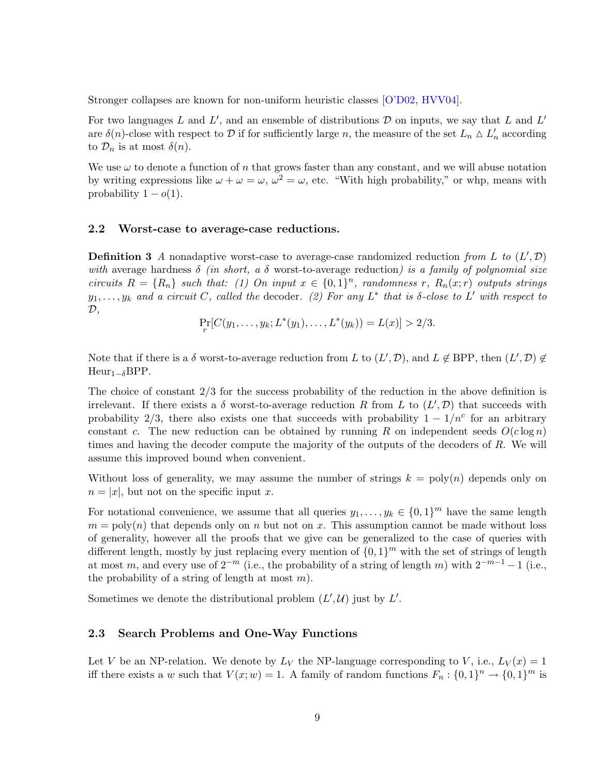<span id="page-8-0"></span>Stronger collapses are known for non-uniform heuristic classes [\[O'D02,](#page-25-4) [HVV04\]](#page-24-14).

For two languages L and L', and an ensemble of distributions  $D$  on inputs, we say that L and L' are  $\delta(n)$ -close with respect to  $\mathcal D$  if for sufficiently large n, the measure of the set  $L_n \Delta L'_n$  according to  $\mathcal{D}_n$  is at most  $\delta(n)$ .

We use  $\omega$  to denote a function of n that grows faster than any constant, and we will abuse notation by writing expressions like  $\omega + \omega = \omega$ ,  $\omega^2 = \omega$ , etc. "With high probability," or whp, means with probability  $1 - o(1)$ .

### 2.2 Worst-case to average-case reductions.

**Definition 3** A nonadaptive worst-case to average-case randomized reduction from L to  $(L', \mathcal{D})$ with average hardness  $\delta$  (in short, a  $\delta$  worst-to-average reduction) is a family of polynomial size circuits  $R = \{R_n\}$  such that: (1) On input  $x \in \{0,1\}^n$ , randomness r,  $R_n(x; r)$  outputs strings  $y_1, \ldots, y_k$  and a circuit C, called the decoder. (2) For any L<sup>\*</sup> that is  $\delta$ -close to L' with respect to  $\mathcal{D},$ 

$$
\Pr_r[C(y_1,\ldots,y_k;L^*(y_1),\ldots,L^*(y_k)) = L(x)] > 2/3.
$$

Note that if there is a  $\delta$  worst-to-average reduction from L to  $(L', \mathcal{D})$ , and  $L \notin \text{BPP}$ , then  $(L', \mathcal{D}) \notin$ Heur<sub>1−δ</sub>BPP.

The choice of constant 2/3 for the success probability of the reduction in the above definition is irrelevant. If there exists a  $\delta$  worst-to-average reduction R from L to  $(L', \mathcal{D})$  that succeeds with probability 2/3, there also exists one that succeeds with probability  $1 - 1/n^c$  for an arbitrary constant c. The new reduction can be obtained by running R on independent seeds  $O(c \log n)$ times and having the decoder compute the majority of the outputs of the decoders of R. We will assume this improved bound when convenient.

Without loss of generality, we may assume the number of strings  $k = \text{poly}(n)$  depends only on  $n = |x|$ , but not on the specific input x.

For notational convenience, we assume that all queries  $y_1, \ldots, y_k \in \{0,1\}^m$  have the same length  $m = \text{poly}(n)$  that depends only on n but not on x. This assumption cannot be made without loss of generality, however all the proofs that we give can be generalized to the case of queries with different length, mostly by just replacing every mention of  $\{0,1\}^m$  with the set of strings of length at most m, and every use of  $2^{-m}$  (i.e., the probability of a string of length m) with  $2^{-m-1} - 1$  (i.e., the probability of a string of length at most  $m$ ).

Sometimes we denote the distributional problem  $(L', \mathcal{U})$  just by  $L'$ .

#### 2.3 Search Problems and One-Way Functions

Let V be an NP-relation. We denote by  $L_V$  the NP-language corresponding to V, i.e.,  $L_V(x) = 1$ iff there exists a w such that  $V(x; w) = 1$ . A family of random functions  $F_n : \{0, 1\}^n \to \{0, 1\}^m$  is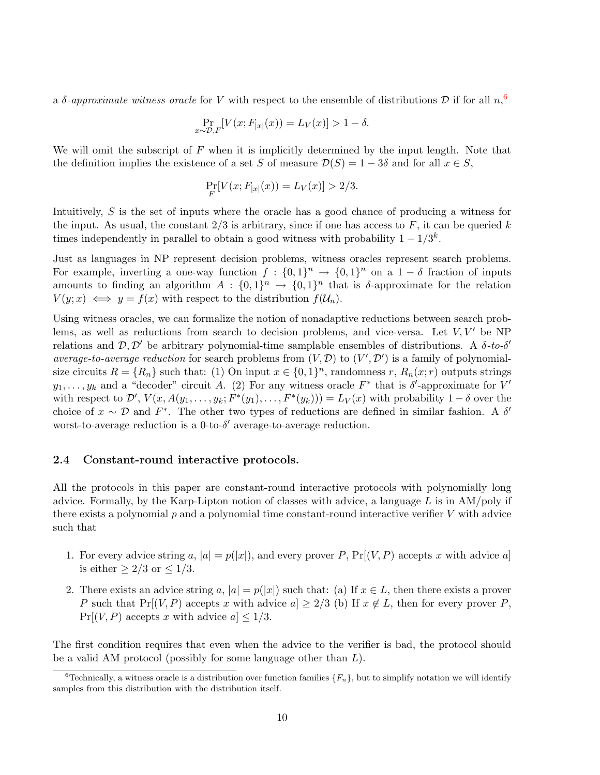a  $\delta$ -approximate witness oracle for V with respect to the ensemble of distributions D if for all  $n<sub>1</sub>$ <sup>[6](#page-9-0)</sup>

$$
\Pr_{x \sim \mathcal{D}, F}[V(x; F_{|x|}(x)) = L_V(x)] > 1 - \delta.
$$

We will omit the subscript of  $F$  when it is implicitly determined by the input length. Note that the definition implies the existence of a set S of measure  $\mathcal{D}(S) = 1 - 3\delta$  and for all  $x \in S$ ,

$$
\Pr_{F}[V(x; F_{|x|}(x)) = L_V(x)] > 2/3.
$$

Intuitively, S is the set of inputs where the oracle has a good chance of producing a witness for the input. As usual, the constant  $2/3$  is arbitrary, since if one has access to F, it can be queried k times independently in parallel to obtain a good witness with probability  $1 - 1/3<sup>k</sup>$ .

Just as languages in NP represent decision problems, witness oracles represent search problems. For example, inverting a one-way function  $f: \{0,1\}^n \to \{0,1\}^n$  on a  $1-\delta$  fraction of inputs amounts to finding an algorithm  $A: \{0,1\}^n \rightarrow \{0,1\}^n$  that is  $\delta$ -approximate for the relation  $V(y; x) \iff y = f(x)$  with respect to the distribution  $f(\mathcal{U}_n)$ .

Using witness oracles, we can formalize the notion of nonadaptive reductions between search problems, as well as reductions from search to decision problems, and vice-versa. Let  $V, V'$  be NP relations and  $\mathcal{D}, \mathcal{D}'$  be arbitrary polynomial-time samplable ensembles of distributions. A  $\delta$ -to- $\delta'$ average-to-average reduction for search problems from  $(V, \mathcal{D})$  to  $(V', \mathcal{D}')$  is a family of polynomialsize circuits  $R = \{R_n\}$  such that: (1) On input  $x \in \{0,1\}^n$ , randomness r,  $R_n(x; r)$  outputs strings  $y_1, \ldots, y_k$  and a "decoder" circuit A. (2) For any witness oracle  $F^*$  that is  $\delta'$ -approximate for  $V'$ with respect to  $\mathcal{D}', V(x, A(y_1, \ldots, y_k; F^*(y_1), \ldots, F^*(y_k))) = L_V(x)$  with probability  $1-\delta$  over the choice of  $x \sim \mathcal{D}$  and  $F^*$ . The other two types of reductions are defined in similar fashion. A  $\delta'$ worst-to-average reduction is a 0-to- $\delta'$  average-to-average reduction.

#### 2.4 Constant-round interactive protocols.

All the protocols in this paper are constant-round interactive protocols with polynomially long advice. Formally, by the Karp-Lipton notion of classes with advice, a language  $L$  is in AM/poly if there exists a polynomial  $p$  and a polynomial time constant-round interactive verifier  $V$  with advice such that

- 1. For every advice string a,  $|a| = p(|x|)$ , and every prover P,  $Pr[(V, P)$  accepts x with advice a is either  $\geq 2/3$  or  $\leq 1/3$ .
- 2. There exists an advice string a,  $|a| = p(|x|)$  such that: (a) If  $x \in L$ , then there exists a prover P such that  $Pr[(V, P)]$  accepts x with advice  $a] \geq 2/3$  (b) If  $x \notin L$ , then for every prover P,  $Pr[(V, P)$  accepts x with advice  $a] \leq 1/3$ .

The first condition requires that even when the advice to the verifier is bad, the protocol should be a valid AM protocol (possibly for some language other than  $L$ ).

<span id="page-9-0"></span><sup>&</sup>lt;sup>6</sup>Technically, a witness oracle is a distribution over function families  $\{F_n\}$ , but to simplify notation we will identify samples from this distribution with the distribution itself.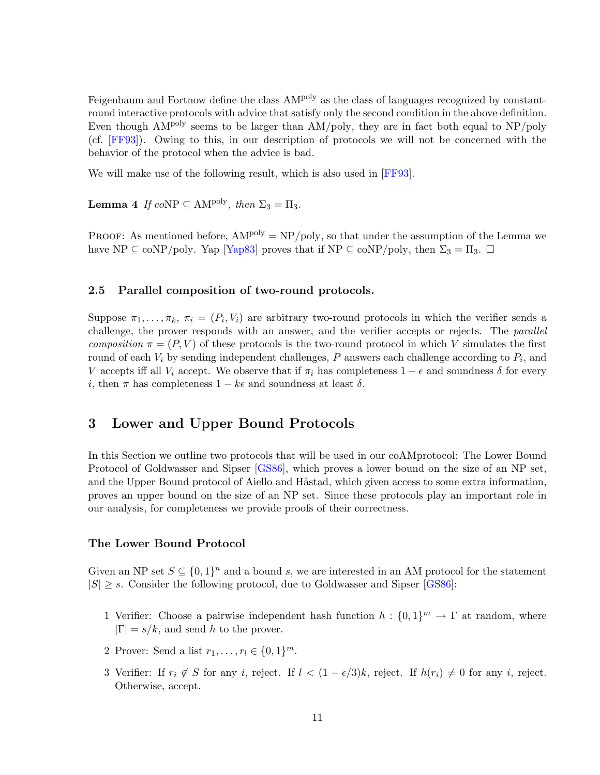<span id="page-10-2"></span>Feigenbaum and Fortnow define the class AM<sup>poly</sup> as the class of languages recognized by constantround interactive protocols with advice that satisfy only the second condition in the above definition. Even though  $AM<sup>poly</sup>$  seems to be larger than  $AM/poly$ , they are in fact both equal to  $NP/poly$ (cf. [\[FF93\]](#page-24-3)). Owing to this, in our description of protocols we will not be concerned with the behavior of the protocol when the advice is bad.

<span id="page-10-0"></span>We will make use of the following result, which is also used in [\[FF93\]](#page-24-3).

**Lemma 4** If  $coNP \subseteq AM^{poly}$ , then  $\Sigma_3 = \Pi_3$ .

PROOF: As mentioned before,  $AM^{poly} = NP/poly$ , so that under the assumption of the Lemma we have NP  $\subseteq$  coNP/poly. Yap [\[Yap83\]](#page-25-5) proves that if NP  $\subseteq$  coNP/poly, then  $\Sigma_3 = \Pi_3$ .  $\square$ 

#### 2.5 Parallel composition of two-round protocols.

Suppose  $\pi_1, \ldots, \pi_k$ ,  $\pi_i = (P_i, V_i)$  are arbitrary two-round protocols in which the verifier sends a challenge, the prover responds with an answer, and the verifier accepts or rejects. The parallel composition  $\pi = (P, V)$  of these protocols is the two-round protocol in which V simulates the first round of each  $V_i$  by sending independent challenges,  $P$  answers each challenge according to  $P_i$ , and V accepts iff all  $V_i$  accept. We observe that if  $\pi_i$  has completeness  $1 - \epsilon$  and soundness  $\delta$  for every i, then  $\pi$  has completeness  $1 - k\epsilon$  and soundness at least  $\delta$ .

# 3 Lower and Upper Bound Protocols

In this Section we outline two protocols that will be used in our coAMprotocol: The Lower Bound Protocol of Goldwasser and Sipser [\[GS86\]](#page-24-13), which proves a lower bound on the size of an NP set, and the Upper Bound protocol of Aiello and Håstad, which given access to some extra information, proves an upper bound on the size of an NP set. Since these protocols play an important role in our analysis, for completeness we provide proofs of their correctness.

#### The Lower Bound Protocol

Given an NP set  $S \subseteq \{0,1\}^n$  and a bound s, we are interested in an AM protocol for the statement  $|S| \geq s$ . Consider the following protocol, due to Goldwasser and Sipser [\[GS86\]](#page-24-13):

- 1 Verifier: Choose a pairwise independent hash function  $h: \{0,1\}^m \to \Gamma$  at random, where  $|\Gamma| = s/k$ , and send h to the prover.
- 2 Prover: Send a list  $r_1, \ldots, r_l \in \{0, 1\}^m$ .
- <span id="page-10-1"></span>3 Verifier: If  $r_i \notin S$  for any i, reject. If  $l < (1 - \epsilon/3)k$ , reject. If  $h(r_i) \neq 0$  for any i, reject. Otherwise, accept.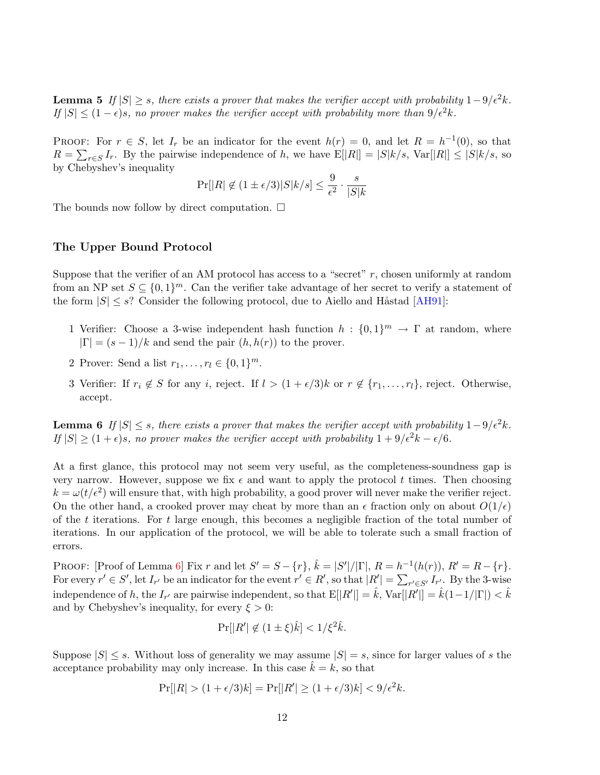<span id="page-11-1"></span>**Lemma 5** If  $|S| \geq s$ , there exists a prover that makes the verifier accept with probability  $1-9/\epsilon^2 k$ . If  $|S| \leq (1 - \epsilon)s$ , no prover makes the verifier accept with probability more than  $9/\epsilon^2 k$ .

PROOF: For  $r \in S$ , let  $I_r$  be an indicator for the event  $h(r) = 0$ , and let  $R = h^{-1}(0)$ , so that  $R = \sum_{r \in S} I_r$ . By the pairwise independence of h, we have  $E[|R|] = |S|k/s$ ,  $Var[|R|] \leq |S|k/s$ , so by Chebyshev's inequality

$$
\Pr[|R| \not\in (1\pm \epsilon/3)|S|k/s] \leq \frac{9}{\epsilon^2} \cdot \frac{s}{|S|k}
$$

The bounds now follow by direct computation.  $\Box$ 

#### The Upper Bound Protocol

Suppose that the verifier of an AM protocol has access to a "secret"  $r$ , chosen uniformly at random from an NP set  $S \subseteq \{0,1\}^m$ . Can the verifier take advantage of her secret to verify a statement of the form  $|S| \leq s$ ? Consider the following protocol, due to Aiello and Håstad [\[AH91\]](#page-23-3):

- 1 Verifier: Choose a 3-wise independent hash function  $h: \{0,1\}^m \to \Gamma$  at random, where  $|\Gamma| = (s-1)/k$  and send the pair  $(h, h(r))$  to the prover.
- 2 Prover: Send a list  $r_1, ..., r_l \in \{0, 1\}^m$ .
- 3 Verifier: If  $r_i \notin S$  for any i, reject. If  $l > (1 + \epsilon/3)k$  or  $r \notin \{r_1, \ldots, r_l\}$ , reject. Otherwise, accept.

<span id="page-11-0"></span>**Lemma 6** If  $|S| \leq s$ , there exists a prover that makes the verifier accept with probability  $1-9/\epsilon^2 k$ . If  $|S| \geq (1+\epsilon)s$ , no prover makes the verifier accept with probability  $1 + 9/\epsilon^2 k - \epsilon/6$ .

At a first glance, this protocol may not seem very useful, as the completeness-soundness gap is very narrow. However, suppose we fix  $\epsilon$  and want to apply the protocol t times. Then choosing  $k = \omega(t/\epsilon^2)$  will ensure that, with high probability, a good prover will never make the verifier reject. On the other hand, a crooked prover may cheat by more than an  $\epsilon$  fraction only on about  $O(1/\epsilon)$ of the t iterations. For t large enough, this becomes a negligible fraction of the total number of iterations. In our application of the protocol, we will be able to tolerate such a small fraction of errors.

PROOF: [Proof of Lemma [6\]](#page-11-0) Fix r and let  $S' = S - \{r\}$ ,  $\hat{k} = |S'|/|\Gamma|$ ,  $R = h^{-1}(h(r))$ ,  $R' = R - \{r\}$ . For every  $r' \in S'$ , let  $I_{r'}$  be an indicator for the event  $r' \in R'$ , so that  $|R'| = \sum_{r' \in S'} I_{r'}$ . By the 3-wise independence of h, the  $I_{r'}$  are pairwise independent, so that  $\mathrm{E}[|R'|]=\hat{k}$ ,  $\mathrm{Var}[|R'|]=\hat{k}(1-1/|\Gamma|)<\hat{k}$ and by Chebyshev's inequality, for every  $\xi > 0$ :

$$
\Pr[|R'|\notin(1\pm\xi)\hat{k}]<1/\xi^2\hat{k}.
$$

Suppose  $|S| \leq s$ . Without loss of generality we may assume  $|S| = s$ , since for larger values of s the acceptance probability may only increase. In this case  $\hat{k} = k$ , so that

$$
\Pr[|R| > (1 + \epsilon/3)k] = \Pr[|R'| \ge (1 + \epsilon/3)k] < 9/\epsilon^2 k.
$$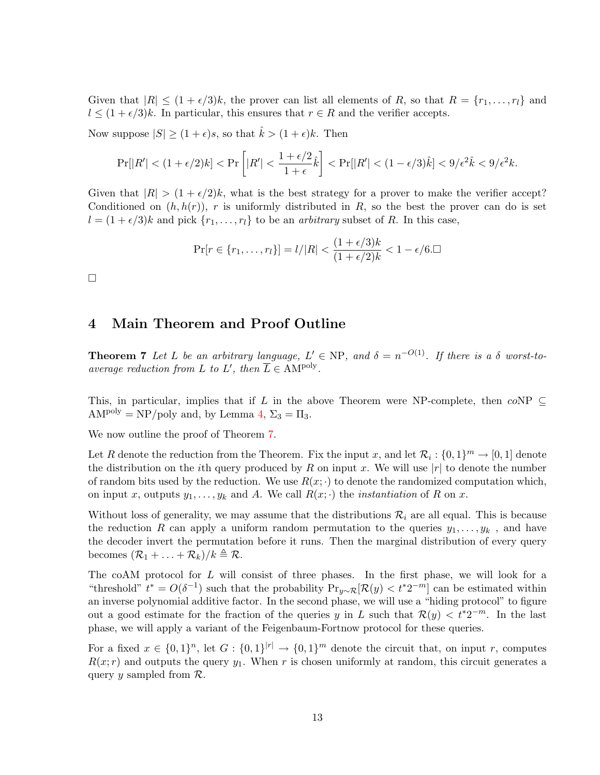Given that  $|R| \leq (1 + \epsilon/3)k$ , the prover can list all elements of R, so that  $R = \{r_1, \ldots, r_l\}$  and  $l \leq (1 + \epsilon/3)k$ . In particular, this ensures that  $r \in R$  and the verifier accepts.

Now suppose  $|S| \ge (1 + \epsilon)s$ , so that  $\hat{k} > (1 + \epsilon)k$ . Then

$$
\Pr[|R'| < (1+\epsilon/2)k] < \Pr\left[|R'| < \frac{1+\epsilon/2}{1+\epsilon}\hat{k}\right] < \Pr[|R'| < (1-\epsilon/3)\hat{k}] < 9/\epsilon^2\hat{k} < 9/\epsilon^2k.
$$

Given that  $|R| > (1 + \epsilon/2)k$ , what is the best strategy for a prover to make the verifier accept? Conditioned on  $(h, h(r))$ , r is uniformly distributed in R, so the best the prover can do is set  $l = (1 + \epsilon/3)k$  and pick  $\{r_1, \ldots, r_l\}$  to be an *arbitrary* subset of R. In this case,

$$
\Pr[r \in \{r_1, \dots, r_l\}] = l/|R| < \frac{(1 + \epsilon/3)k}{(1 + \epsilon/2)k} < 1 - \epsilon/6. \Box
$$

 $\Box$ 

# 4 Main Theorem and Proof Outline

<span id="page-12-0"></span>**Theorem 7** Let L be an arbitrary language,  $L' \in NP$ , and  $\delta = n^{-O(1)}$ . If there is a  $\delta$  worst-toaverage reduction from L to L', then  $\overline{L} \in AM^{poly}$ .

This, in particular, implies that if L in the above Theorem were NP-complete, then  $coNP \subseteq$  $AM^{poly} = NP/poly$  and, by Lemma [4,](#page-10-0)  $\Sigma_3 = \Pi_3$ .

We now outline the proof of Theorem [7.](#page-12-0)

Let R denote the reduction from the Theorem. Fix the input x, and let  $\mathcal{R}_i: \{0,1\}^m \to [0,1]$  denote the distribution on the *i*th query produced by R on input x. We will use  $|r|$  to denote the number of random bits used by the reduction. We use  $R(x; \cdot)$  to denote the randomized computation which, on input x, outputs  $y_1, \ldots, y_k$  and A. We call  $R(x; \cdot)$  the *instantiation* of R on x.

Without loss of generality, we may assume that the distributions  $\mathcal{R}_i$  are all equal. This is because the reduction R can apply a uniform random permutation to the queries  $y_1, \ldots, y_k$ , and have the decoder invert the permutation before it runs. Then the marginal distribution of every query becomes  $(\mathcal{R}_1 + \ldots + \mathcal{R}_k)/k \triangleq \mathcal{R}$ .

The coAM protocol for L will consist of three phases. In the first phase, we will look for a "threshold"  $t^* = O(\delta^{-1})$  such that the probability  $Pr_{y \sim \mathcal{R}}[\mathcal{R}(y) < t^* 2^{-m}]$  can be estimated within an inverse polynomial additive factor. In the second phase, we will use a "hiding protocol" to figure out a good estimate for the fraction of the queries y in L such that  $\mathcal{R}(y) < t^*2^{-m}$ . In the last phase, we will apply a variant of the Feigenbaum-Fortnow protocol for these queries.

For a fixed  $x \in \{0,1\}^n$ , let  $G: \{0,1\}^{|r|} \to \{0,1\}^m$  denote the circuit that, on input r, computes  $R(x; r)$  and outputs the query  $y_1$ . When r is chosen uniformly at random, this circuit generates a query y sampled from  $\mathcal{R}$ .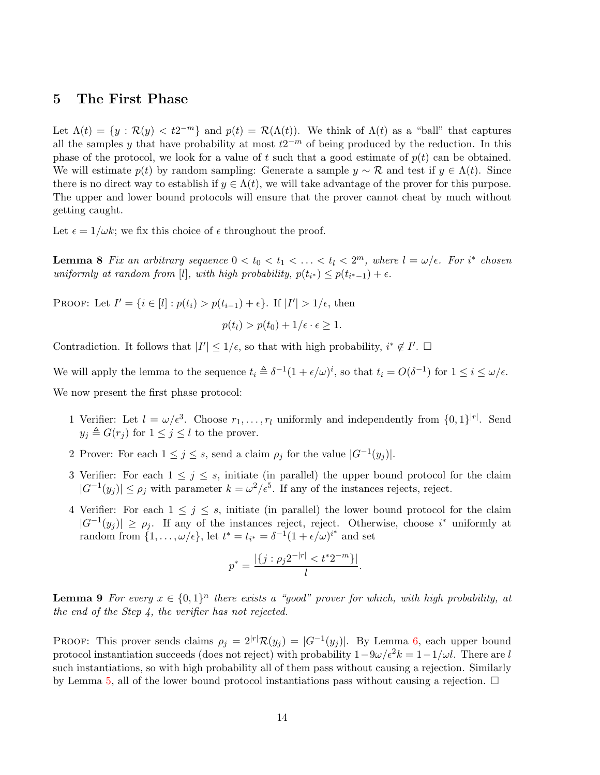### 5 The First Phase

Let  $\Lambda(t) = \{y : \mathcal{R}(y) < t2^{-m}\}\$ and  $p(t) = \mathcal{R}(\Lambda(t))$ . We think of  $\Lambda(t)$  as a "ball" that captures all the samples y that have probability at most  $t2^{-m}$  of being produced by the reduction. In this phase of the protocol, we look for a value of t such that a good estimate of  $p(t)$  can be obtained. We will estimate  $p(t)$  by random sampling: Generate a sample  $y \sim \mathcal{R}$  and test if  $y \in \Lambda(t)$ . Since there is no direct way to establish if  $y \in \Lambda(t)$ , we will take advantage of the prover for this purpose. The upper and lower bound protocols will ensure that the prover cannot cheat by much without getting caught.

<span id="page-13-0"></span>Let  $\epsilon = 1/\omega k$ ; we fix this choice of  $\epsilon$  throughout the proof.

**Lemma 8** Fix an arbitrary sequence  $0 < t_0 < t_1 < \ldots < t_l < 2^m$ , where  $l = \omega/\epsilon$ . For i<sup>\*</sup> chosen uniformly at random from [l], with high probability,  $p(t_{i^*}) \leq p(t_{i^*-1}) + \epsilon$ .

PROOF: Let  $I' = \{i \in [l] : p(t_i) > p(t_{i-1}) + \epsilon\}$ . If  $|I'| > 1/\epsilon$ , then

$$
p(t_l) > p(t_0) + 1/\epsilon \cdot \epsilon \ge 1.
$$

Contradiction. It follows that  $|I'| \leq 1/\epsilon$ , so that with high probability,  $i^* \notin I'$ .  $\Box$ 

We will apply the lemma to the sequence  $t_i \triangleq \delta^{-1}(1 + \epsilon/\omega)^i$ , so that  $t_i = O(\delta^{-1})$  for  $1 \leq i \leq \omega/\epsilon$ . We now present the first phase protocol:

- 1 Verifier: Let  $l = \omega/\epsilon^3$ . Choose  $r_1, \ldots, r_l$  uniformly and independently from  $\{0, 1\}^{|r|}$ . Send  $y_j \triangleq G(r_j)$  for  $1 \leq j \leq l$  to the prover.
- 2 Prover: For each  $1 \leq j \leq s$ , send a claim  $\rho_j$  for the value  $|G^{-1}(y_j)|$ .
- 3 Verifier: For each  $1 \leq j \leq s$ , initiate (in parallel) the upper bound protocol for the claim  $|G^{-1}(y_j)| \leq \rho_j$  with parameter  $k = \omega^2/\epsilon^5$ . If any of the instances rejects, reject.
- 4 Verifier: For each  $1 \leq j \leq s$ , initiate (in parallel) the lower bound protocol for the claim  $|G^{-1}(y_j)| \ge \rho_j$ . If any of the instances reject, reject. Otherwise, choose i<sup>\*</sup> uniformly at random from  $\{1,\ldots,\omega/\epsilon\}$ , let  $t^* = t_{i^*} = \delta^{-1}(1+\epsilon/\omega)^{i^*}$  and set

$$
p^* = \frac{|\{j : \rho_j 2^{-|r|} < t^* 2^{-m}\}|}{l}
$$

.

**Lemma 9** For every  $x \in \{0,1\}^n$  there exists a "good" prover for which, with high probability, at the end of the Step 4, the verifier has not rejected.

<span id="page-13-1"></span>PROOF: This prover sends claims  $\rho_j = 2^{|r|} \mathcal{R}(y_j) = |G^{-1}(y_j)|$ . By Lemma [6,](#page-11-0) each upper bound protocol instantiation succeeds (does not reject) with probability  $1-9\omega/\epsilon^2 k = 1-1/\omega l$ . There are l such instantiations, so with high probability all of them pass without causing a rejection. Similarly by Lemma [5,](#page-10-1) all of the lower bound protocol instantiations pass without causing a rejection.  $\Box$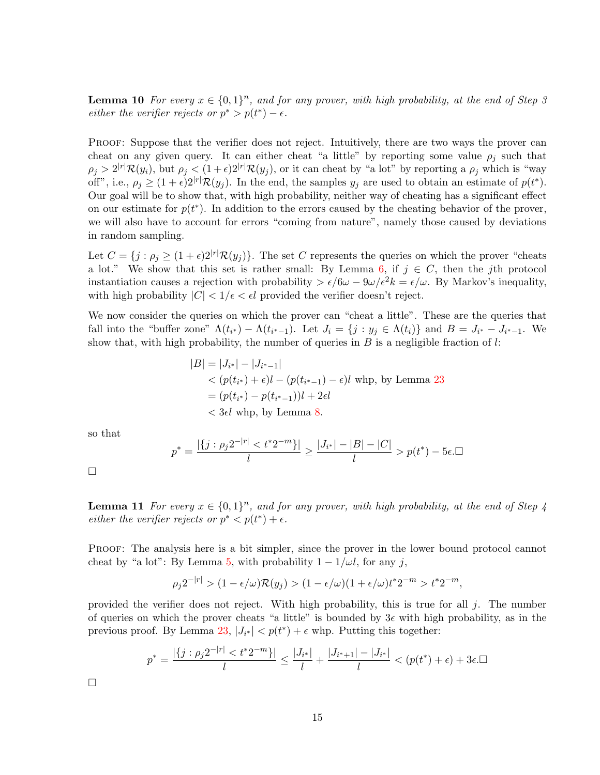**Lemma 10** For every  $x \in \{0,1\}^n$ , and for any prover, with high probability, at the end of Step 3 either the verifier rejects or  $p^* > p(t^*) - \epsilon$ .

PROOF: Suppose that the verifier does not reject. Intuitively, there are two ways the prover can cheat on any given query. It can either cheat "a little" by reporting some value  $\rho_i$  such that  $\rho_j > 2^{|r|} \mathcal{R}(y_i)$ , but  $\rho_j < (1+\epsilon)2^{|r|} \mathcal{R}(y_j)$ , or it can cheat by "a lot" by reporting a  $\rho_j$  which is "way off", i.e.,  $\rho_j \geq (1+\epsilon)2^{|r|} \mathcal{R}(y_j)$ . In the end, the samples  $y_j$  are used to obtain an estimate of  $p(t^*)$ . Our goal will be to show that, with high probability, neither way of cheating has a significant effect on our estimate for  $p(t^*)$ . In addition to the errors caused by the cheating behavior of the prover, we will also have to account for errors "coming from nature", namely those caused by deviations in random sampling.

Let  $C = \{j : \rho_j \geq (1 + \epsilon)2^{|r|} \mathcal{R}(y_j)\}.$  The set C represents the queries on which the prover "cheats" a lot." We show that this set is rather small: By Lemma [6,](#page-11-0) if  $j \in C$ , then the jth protocol instantiation causes a rejection with probability  $\frac{\partial (\omega - \theta)}{\partial \omega} = \frac{\epsilon}{\omega}$ . By Markov's inequality, with high probability  $|C| < 1/\epsilon < \epsilon l$  provided the verifier doesn't reject.

We now consider the queries on which the prover can "cheat a little". These are the queries that fall into the "buffer zone"  $\Lambda(t_{i^*}) - \Lambda(t_{i^*-1})$ . Let  $J_i = \{j : y_j \in \Lambda(t_i)\}\$ and  $B = J_{i^*} - J_{i^*-1}$ . We show that, with high probability, the number of queries in  $B$  is a negligible fraction of  $l$ :

$$
|B| = |J_{i^*}| - |J_{i^*-1}|
$$
  
<  $(p(t_{i^*}) + \epsilon)l - (p(t_{i^*-1}) - \epsilon)l$  whp, by Lemma 23  
 $= (p(t_{i^*}) - p(t_{i^*-1}))l + 2\epsilon l$   
<  $3\epsilon l$  whp, by Lemma 8.

so that

$$
p^* = \frac{|\{j : \rho_j 2^{-|r|} < t^* 2^{-m}\}|}{l} \ge \frac{|J_{i^*}| - |B| - |C|}{l} > p(t^*) - 5\epsilon.
$$

<span id="page-14-0"></span> $\Box$ 

**Lemma 11** For every  $x \in \{0,1\}^n$ , and for any prover, with high probability, at the end of Step 4 either the verifier rejects or  $p^* < p(t^*) + \epsilon$ .

PROOF: The analysis here is a bit simpler, since the prover in the lower bound protocol cannot cheat by "a lot": By Lemma [5,](#page-10-1) with probability  $1 - 1/\omega l$ , for any j,

$$
\rho_j 2^{-|r|} > (1 - \epsilon/\omega) \mathcal{R}(y_j) > (1 - \epsilon/\omega)(1 + \epsilon/\omega)t^* 2^{-m} > t^* 2^{-m},
$$

provided the verifier does not reject. With high probability, this is true for all  $j$ . The number of queries on which the prover cheats "a little" is bounded by  $3\epsilon$  with high probability, as in the previous proof. By Lemma [23,](#page-25-6)  $|J_{i^*}| < p(t^*) + \epsilon$  whp. Putting this together:

$$
p^* = \frac{|\{j : \rho_j 2^{-|r|} < t^* 2^{-m}\}|}{l} \le \frac{|J_{i^*}|}{l} + \frac{|J_{i^*+1}| - |J_{i^*}|}{l} < (p(t^*) + \epsilon) + 3\epsilon. \Box
$$

 $\Box$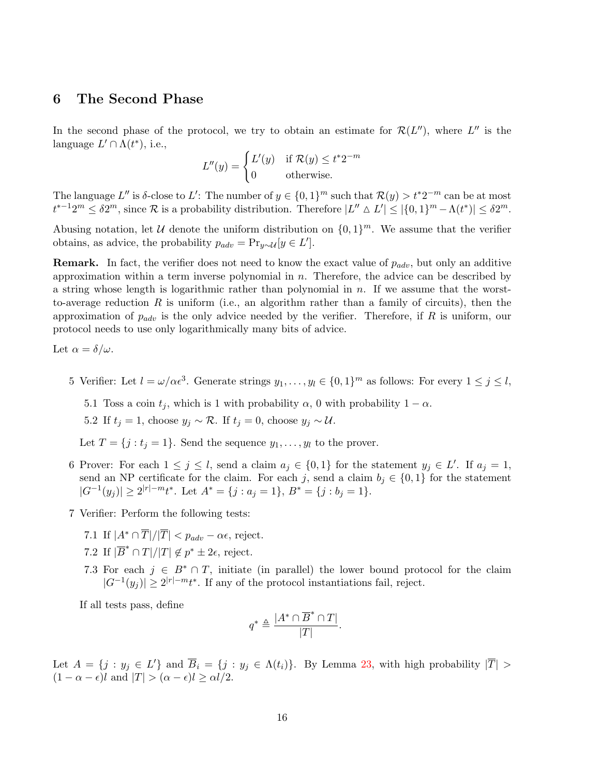### 6 The Second Phase

In the second phase of the protocol, we try to obtain an estimate for  $\mathcal{R}(L'')$ , where  $L''$  is the language  $L' \cap \Lambda(t^*)$ , i.e.,

$$
L''(y) = \begin{cases} L'(y) & \text{if } \mathcal{R}(y) \le t^* 2^{-m} \\ 0 & \text{otherwise.} \end{cases}
$$

The language L'' is δ-close to L': The number of  $y \in \{0,1\}^m$  such that  $\mathcal{R}(y) > t^*2^{-m}$  can be at most  $t^{*-1}2^m \leq \delta 2^m$ , since  $\mathcal R$  is a probability distribution. Therefore  $|L'' \Delta L'| \leq |\{0,1\}^m - \Lambda(t^*)| \leq \delta 2^m$ .

Abusing notation, let U denote the uniform distribution on  $\{0,1\}^m$ . We assume that the verifier obtains, as advice, the probability  $p_{adv} = \Pr_{y \sim \mathcal{U}}[y \in L']$ .

**Remark.** In fact, the verifier does not need to know the exact value of  $p_{adv}$ , but only an additive approximation within a term inverse polynomial in  $n$ . Therefore, the advice can be described by a string whose length is logarithmic rather than polynomial in  $n$ . If we assume that the worstto-average reduction R is uniform (i.e., an algorithm rather than a family of circuits), then the approximation of  $p_{adv}$  is the only advice needed by the verifier. Therefore, if R is uniform, our protocol needs to use only logarithmically many bits of advice.

Let 
$$
\alpha = \delta/\omega
$$
.

- 5 Verifier: Let  $l = \omega/\alpha \epsilon^3$ . Generate strings  $y_1, \ldots, y_l \in \{0, 1\}^m$  as follows: For every  $1 \leq j \leq l$ ,
	- 5.1 Toss a coin  $t_j$ , which is 1 with probability  $\alpha$ , 0 with probability  $1 \alpha$ .

5.2 If  $t_j = 1$ , choose  $y_j \sim \mathcal{R}$ . If  $t_j = 0$ , choose  $y_j \sim \mathcal{U}$ .

Let  $T = \{j : t_j = 1\}$ . Send the sequence  $y_1, \ldots, y_l$  to the prover.

- 6 Prover: For each  $1 \leq j \leq l$ , send a claim  $a_j \in \{0,1\}$  for the statement  $y_j \in L'$ . If  $a_j = 1$ , send an NP certificate for the claim. For each j, send a claim  $b_j \in \{0,1\}$  for the statement  $|G^{-1}(y_j)| \geq 2^{|r|-m}t^*$ . Let  $A^* = \{j : a_j = 1\}$ ,  $B^* = \{j : b_j = 1\}$ .
- 7 Verifier: Perform the following tests:
	- 7.1 If  $|A^* \cap \overline{T}|/|\overline{T}| < p_{adv} \alpha \epsilon$ , reject.
	- 7.2 If  $|\overline{B}^* \cap T|/|T| \notin p^* \pm 2\epsilon$ , reject.
	- 7.3 For each  $j \in B^* \cap T$ , initiate (in parallel) the lower bound protocol for the claim  $|G^{-1}(y_j)| \geq 2^{|r|-m}t^*$ . If any of the protocol instantiations fail, reject.

If all tests pass, define

$$
q^* \triangleq \frac{|A^* \cap \overline{B}^* \cap T|}{|T|}.
$$

<span id="page-15-0"></span>Let  $A = \{j : y_j \in L'\}$  and  $\overline{B}_i = \{j : y_j \in \Lambda(t_i)\}\$ . By Lemma [23,](#page-25-6) with high probability  $|\overline{T}| >$  $(1 - \alpha - \epsilon)l$  and  $|T| > (\alpha - \epsilon)l \ge \alpha l/2$ .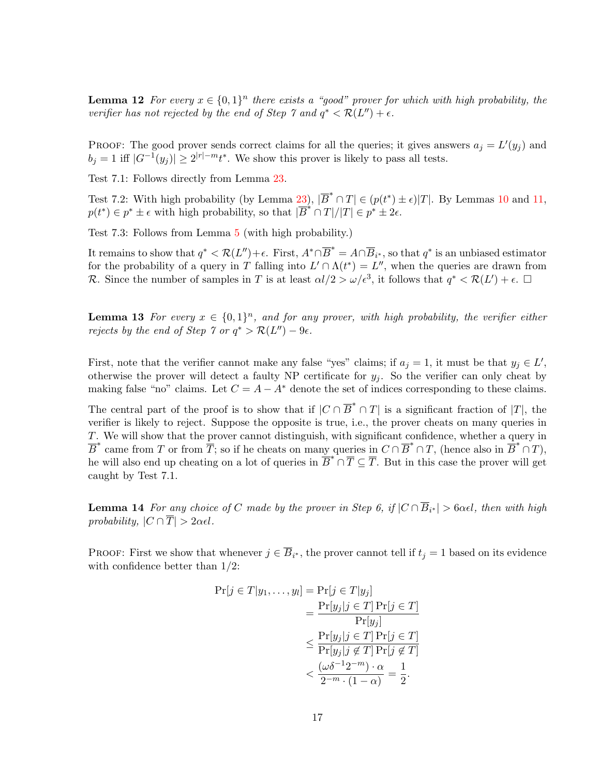**Lemma 12** For every  $x \in \{0,1\}^n$  there exists a "good" prover for which with high probability, the verifier has not rejected by the end of Step  $\gamma$  and  $q^* < \mathcal{R}(L'') + \epsilon$ .

PROOF: The good prover sends correct claims for all the queries; it gives answers  $a_j = L'(y_j)$  and  $b_j = 1$  iff  $|G^{-1}(y_j)| \ge 2^{|r|-m} t^*$ . We show this prover is likely to pass all tests.

Test 7.1: Follows directly from Lemma [23.](#page-25-6)

Test 7.2: With high probability (by Lemma [23\)](#page-25-6),  $|\overline{B}^* \cap T| \in (p(t^*) \pm \epsilon)|T|$ . By Lemmas [10](#page-13-1) and [11,](#page-14-0)  $p(t^*) \in p^* \pm \epsilon$  with high probability, so that  $|\overline{B}^* \cap T|/|T| \in p^* \pm 2\epsilon$ .

Test 7.3: Follows from Lemma [5](#page-10-1) (with high probability.)

It remains to show that  $q^* < \mathcal{R}(L'') + \epsilon$ . First,  $A^* \cap \overline{B}^* = A \cap \overline{B}_{i^*}$ , so that  $q^*$  is an unbiased estimator for the probability of a query in T falling into  $L' \cap \Lambda(t^*) = L''$ , when the queries are drawn from R. Since the number of samples in T is at least  $\alpha l/2 > \omega/\epsilon^3$ , it follows that  $q^* < \mathcal{R}(L') + \epsilon$ .  $\Box$ 

<span id="page-16-0"></span>**Lemma 13** For every  $x \in \{0,1\}^n$ , and for any prover, with high probability, the verifier either rejects by the end of Step  $\gamma$  or  $q^* > \mathcal{R}(L'') - 9\epsilon$ .

First, note that the verifier cannot make any false "yes" claims; if  $a_j = 1$ , it must be that  $y_j \in L'$ , otherwise the prover will detect a faulty NP certificate for  $y_i$ . So the verifier can only cheat by making false "no" claims. Let  $C = A - A^*$  denote the set of indices corresponding to these claims.

The central part of the proof is to show that if  $|C \cap \overline{B}^* \cap T|$  is a significant fraction of  $|T|$ , the verifier is likely to reject. Suppose the opposite is true, i.e., the prover cheats on many queries in T. We will show that the prover cannot distinguish, with significant confidence, whether a query in  $\overline{B}^*$  came from T or from  $\overline{T}$ ; so if he cheats on many queries in  $C \cap \overline{B}^* \cap T$ , (hence also in  $\overline{B}^* \cap T$ ), he will also end up cheating on a lot of queries in  $\overline{B}^* \cap \overline{T} \subseteq \overline{T}$ . But in this case the prover will get caught by Test 7.1.

<span id="page-16-1"></span>**Lemma 14** For any choice of C made by the prover in Step 6, if  $|C \cap \overline{B}_{i^*}| > 6\alpha\epsilon l$ , then with high probability,  $|C \cap \overline{T}| > 2\alpha\epsilon l$ .

PROOF: First we show that whenever  $j \in \overline{B}_{i^*}$ , the prover cannot tell if  $t_j = 1$  based on its evidence with confidence better than 1/2:

$$
\Pr[j \in T | y_1, \dots, y_l] = \Pr[j \in T | y_j]
$$

$$
= \frac{\Pr[y_j | j \in T] \Pr[j \in T]}{\Pr[y_j]}
$$

$$
\leq \frac{\Pr[y_j | j \in T] \Pr[j \in T]}{\Pr[y_j | j \notin T] \Pr[j \notin T]}
$$

$$
< \frac{(\omega \delta^{-1} 2^{-m}) \cdot \alpha}{2^{-m} \cdot (1 - \alpha)} = \frac{1}{2}.
$$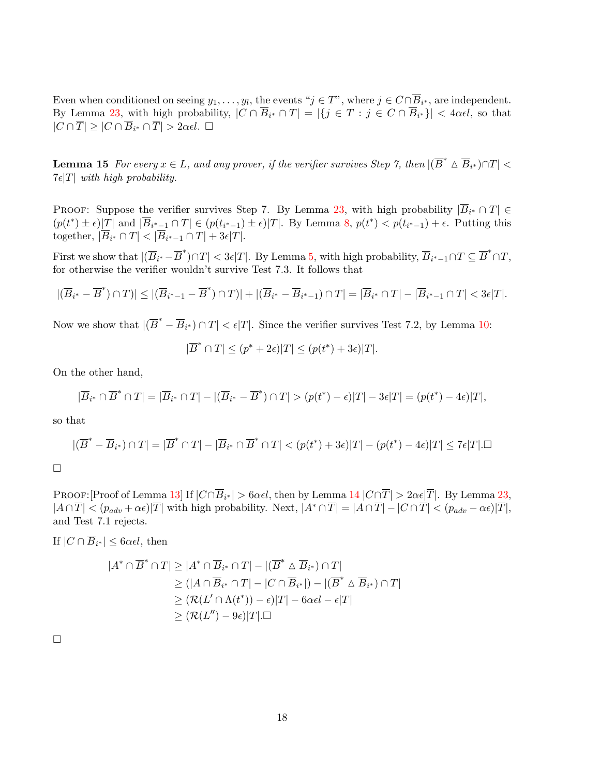Even when conditioned on seeing  $y_1, \ldots, y_l$ , the events " $j \in T$ ", where  $j \in C \cap \overline{B}_{i^*}$ , are independent. By Lemma [23,](#page-25-6) with high probability,  $|C \cap \overline{B}_{i^*} \cap T| = |\{j \in T : j \in C \cap \overline{B}_{i^*}\}| < 4\alpha\epsilon l$ , so that  $|C \cap \overline{T}| \geq |C \cap \overline{B}_{i^*} \cap \overline{T}| > 2\alpha\epsilon l.$ 

<span id="page-17-0"></span>**Lemma 15** For every  $x \in L$ , and any prover, if the verifier survives Step 7, then  $|(\overline{B}^* \triangle \overline{B}_{i^*}) \cap T|$  $7\epsilon|T|$  with high probability.

**PROOF:** Suppose the verifier survives Step 7. By Lemma [23,](#page-25-6) with high probability  $|\overline{B}_{i^*} \cap T| \in$  $(p(t^*) \pm \epsilon)|T|$  and  $|\overline{B}_{i^*-1} \cap T| \in (p(t_{i^*-1}) \pm \epsilon)|T|$ . By Lemma [8,](#page-13-0)  $p(t^*) < p(t_{i^*-1}) + \epsilon$ . Putting this together,  $|\overline{B}_{i^*} \cap T| < |\overline{B}_{i^*-1} \cap T| + 3\epsilon|T|.$ 

First we show that  $|(\overline{B}_{i^*}-\overline{B}^*) \cap T| < 3\epsilon |T|$ . By Lemma [5,](#page-10-1) with high probability,  $\overline{B}_{i^*-1} \cap T \subseteq \overline{B}^* \cap T$ , for otherwise the verifier wouldn't survive Test 7.3. It follows that

$$
|(\overline{B}_{i^*}-\overline{B}^*)\cap T)|\leq |(\overline{B}_{i^*-1}-\overline{B}^*)\cap T)|+|(\overline{B}_{i^*}-\overline{B}_{i^*-1})\cap T|=|\overline{B}_{i^*}\cap T|-|\overline{B}_{i^*-1}\cap T|<3\epsilon|T|.
$$

Now we show that  $|(\overline{B}^* - \overline{B}_{i^*}) \cap T| < \epsilon |T|$ . Since the verifier survives Test 7.2, by Lemma [10:](#page-13-1)

$$
|\overline{B}^* \cap T| \le (p^* + 2\epsilon)|T| \le (p(t^*) + 3\epsilon)|T|.
$$

On the other hand,

$$
|\overline{B}_{i^*} \cap \overline{B}^* \cap T| = |\overline{B}_{i^*} \cap T| - |(\overline{B}_{i^*} - \overline{B}^*) \cap T| > (p(t^*) - \epsilon)|T| - 3\epsilon|T| = (p(t^*) - 4\epsilon)|T|,
$$

so that

$$
|(\overline{B}^* - \overline{B}_{i^*}) \cap T| = |\overline{B}^* \cap T| - |\overline{B}_{i^*} \cap \overline{B}^* \cap T| < (p(t^*) + 3\epsilon)|T| - (p(t^*) - 4\epsilon)|T| \le 7\epsilon|T|.\square
$$

 $\Box$ 

PROOF:[Proof of Lemma [13\]](#page-16-0) If  $|C \cap \overline{B}_{i^*}| > 6\alpha\epsilon l$ , then by Lemma [14](#page-16-1)  $|C \cap \overline{T}| > 2\alpha\epsilon |\overline{T}|$ . By Lemma [23,](#page-25-6)  $|A \cap \overline{T}| < (p_{adv} + \alpha \epsilon) |\overline{T}|$  with high probability. Next,  $|A^* \cap \overline{T}| = |A \cap \overline{T}| - |C \cap \overline{T}| < (p_{adv} - \alpha \epsilon) |\overline{T}|$ , and Test 7.1 rejects.

If  $|C \cap B_{i^*}| \leq 6\alpha\epsilon l$ , then

$$
|A^* \cap \overline{B}^* \cap T| \ge |A^* \cap \overline{B}_{i^*} \cap T| - |(\overline{B}^* \triangle \overline{B}_{i^*}) \cap T|
$$
  
\n
$$
\ge (|A \cap \overline{B}_{i^*} \cap T| - |C \cap \overline{B}_{i^*}|) - |(\overline{B}^* \triangle \overline{B}_{i^*}) \cap T|
$$
  
\n
$$
\ge (R(L' \cap \Lambda(t^*)) - \epsilon)|T| - 6\alpha\epsilon l - \epsilon|T|
$$
  
\n
$$
\ge (R(L'') - 9\epsilon)|T|.\square
$$

 $\Box$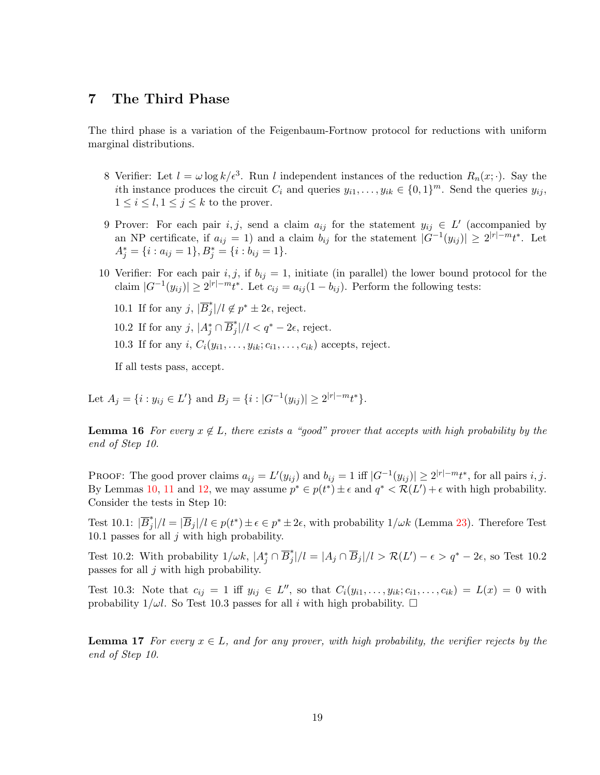# 7 The Third Phase

The third phase is a variation of the Feigenbaum-Fortnow protocol for reductions with uniform marginal distributions.

- 8 Verifier: Let  $l = \omega \log k / \epsilon^3$ . Run l independent instances of the reduction  $R_n(x; \cdot)$ . Say the ith instance produces the circuit  $C_i$  and queries  $y_{i1}, \ldots, y_{ik} \in \{0,1\}^m$ . Send the queries  $y_{ij}$ ,  $1 \leq i \leq l, 1 \leq j \leq k$  to the prover.
- 9 Prover: For each pair i, j, send a claim  $a_{ij}$  for the statement  $y_{ij} \in L'$  (accompanied by an NP certificate, if  $a_{ij} = 1$ ) and a claim  $b_{ij}$  for the statement  $|G^{-1}(y_{ij})| \geq 2^{|r|-m}t^*$ . Let  $A_j^* = \{i : a_{ij} = 1\}, B_j^* = \{i : b_{ij} = 1\}.$
- 10 Verifier: For each pair i, j, if  $b_{ij} = 1$ , initiate (in parallel) the lower bound protocol for the claim  $|G^{-1}(y_{ij})| \geq 2^{|r|-m}t^*$ . Let  $c_{ij} = a_{ij}(1-b_{ij})$ . Perform the following tests:
	- 10.1 If for any j,  $|\overline{B}_i^*|$  $j^*$ |/ $l \notin p^* \pm 2\epsilon$ , reject.
	- 10.2 If for any  $j, |A_j^* \cap \overline{B}_j^*$  $j^*$ |/l <  $q^*$  – 2 $\epsilon$ , reject.
	- 10.3 If for any i,  $C_i(y_{i1}, \ldots, y_{ik}; c_{i1}, \ldots, c_{ik})$  accepts, reject.

If all tests pass, accept.

Let  $A_j = \{i : y_{ij} \in L'\}$  and  $B_j = \{i : |G^{-1}(y_{ij})| \ge 2^{|r|-m} t^*\}.$ 

**Lemma 16** For every  $x \notin L$ , there exists a "good" prover that accepts with high probability by the end of Step 10.

PROOF: The good prover claims  $a_{ij} = L'(y_{ij})$  and  $b_{ij} = 1$  iff  $|G^{-1}(y_{ij})| \ge 2^{|r|-m} t^*$ , for all pairs i, j. By Lemmas [10,](#page-13-1) [11](#page-14-0) and [12,](#page-15-0) we may assume  $p^* \in p(t^*) \pm \epsilon$  and  $q^* \lt \mathcal{R}(L') + \epsilon$  with high probability. Consider the tests in Step 10:

Test 10.1:  $|\overline{B}_i^*|$  $j^*_{j^*}$  =  $|\overline{B}_j|/l \in p(t^*) \pm \epsilon \in p^* \pm 2\epsilon$ , with probability  $1/\omega k$  (Lemma [23\)](#page-25-6). Therefore Test 10.1 passes for all  $j$  with high probability.

Test 10.2: With probability  $1/\omega k$ ,  $|A_j^* \cap \overline{B}_j^*|$  $j^*_{j}/l = |A_j \cap \overline{B}_j|/l > \mathcal{R}(L') - \epsilon > q^* - 2\epsilon$ , so Test 10.2 passes for all  $j$  with high probability.

Test 10.3: Note that  $c_{ij} = 1$  iff  $y_{ij} \in L''$ , so that  $C_i(y_{i1}, \ldots, y_{ik}; c_{i1}, \ldots, c_{ik}) = L(x) = 0$  with probability  $1/\omega l$ . So Test 10.3 passes for all i with high probability.  $\Box$ 

**Lemma 17** For every  $x \in L$ , and for any prover, with high probability, the verifier rejects by the end of Step 10.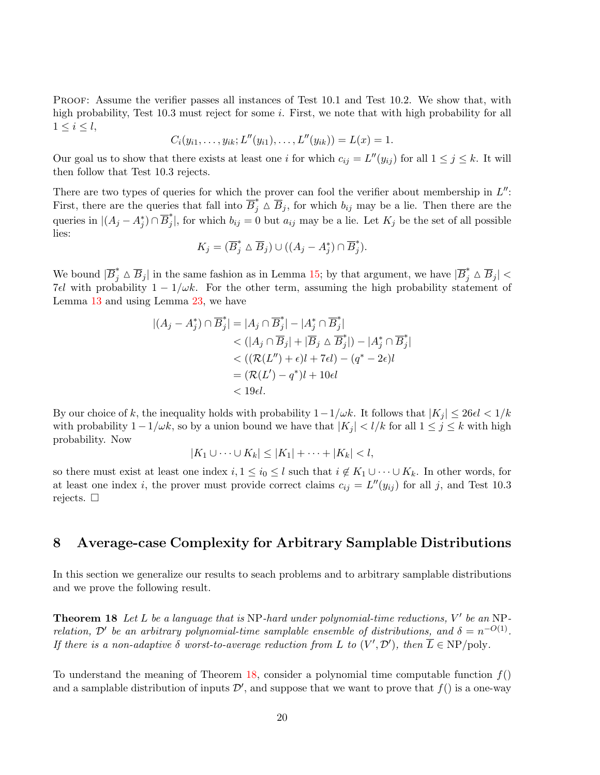Proof: Assume the verifier passes all instances of Test 10.1 and Test 10.2. We show that, with high probability, Test 10.3 must reject for some i. First, we note that with high probability for all  $1 \leq i \leq l$ ,

$$
C_i(y_{i1},\ldots,y_{ik};L''(y_{i1}),\ldots,L''(y_{ik}))=L(x)=1.
$$

Our goal us to show that there exists at least one i for which  $c_{ij} = L''(y_{ij})$  for all  $1 \leq j \leq k$ . It will then follow that Test 10.3 rejects.

There are two types of queries for which the prover can fool the verifier about membership in  $L''$ : First, there are the queries that fall into  $\overline{B}_j^* \stackrel{\wedge}{\Delta} \overline{B}_j$ , for which  $b_{ij}$  may be a lie. Then there are the queries in  $|(A_j - A_j^*) \cap \overline{B}_j^*$  $j_{j}$ , for which  $b_{ij} = 0$  but  $a_{ij}$  may be a lie. Let  $K_j$  be the set of all possible lies:

$$
K_j = (\overline{B}_j^* \wedge \overline{B}_j) \cup ((A_j - A_j^*) \cap \overline{B}_j^*).
$$

We bound  $|\overline{B}_j^* \triangle \overline{B}_j|$  in the same fashion as in Lemma [15;](#page-17-0) by that argument, we have  $|\overline{B}_j^* \triangle \overline{B}_j|$  < 7 $\epsilon l$  with probability  $1 - 1/\omega k$ . For the other term, assuming the high probability statement of Lemma [13](#page-16-0) and using Lemma [23,](#page-25-6) we have

$$
|(A_j - A_j^*) \cap \overline{B}_j^*| = |A_j \cap \overline{B}_j^*| - |A_j^* \cap \overline{B}_j^*|
$$
  
< 
$$
< (|A_j \cap \overline{B}_j| + |\overline{B}_j \triangle \overline{B}_j^*|) - |A_j^* \cap \overline{B}_j^*|
$$
  
< 
$$
< ((\mathcal{R}(L'') + \epsilon)l + 7\epsilon l) - (q^* - 2\epsilon)l
$$
  

$$
= (\mathcal{R}(L') - q^*)l + 10\epsilon l
$$
  

$$
< 19\epsilon l.
$$

By our choice of k, the inequality holds with probability  $1-1/\omega k$ . It follows that  $|K_j| \leq 26\epsilon l < 1/k$ with probability  $1-1/\omega k$ , so by a union bound we have that  $|K_j| < l/k$  for all  $1 \le j \le k$  with high probability. Now

$$
|K_1 \cup \cdots \cup K_k| \leq |K_1| + \cdots + |K_k| < l,
$$

so there must exist at least one index  $i, 1 \leq i_0 \leq l$  such that  $i \notin K_1 \cup \cdots \cup K_k$ . In other words, for at least one index *i*, the prover must provide correct claims  $c_{ij} = L''(y_{ij})$  for all *j*, and Test 10.3 rejects.  $\square$ 

# 8 Average-case Complexity for Arbitrary Samplable Distributions

In this section we generalize our results to seach problems and to arbitrary samplable distributions and we prove the following result.

<span id="page-19-0"></span>**Theorem 18** Let L be a language that is NP-hard under polynomial-time reductions,  $V'$  be an NPrelation,  $\mathcal{D}'$  be an arbitrary polynomial-time samplable ensemble of distributions, and  $\delta = n^{-O(1)}$ . If there is a non-adaptive  $\delta$  worst-to-average reduction from L to  $(V', \mathcal{D}')$ , then  $\overline{L} \in \text{NP}/\text{poly}}$ .

To understand the meaning of Theorem [18,](#page-19-0) consider a polynomial time computable function  $f()$ and a samplable distribution of inputs  $\mathcal{D}'$ , and suppose that we want to prove that  $f()$  is a one-way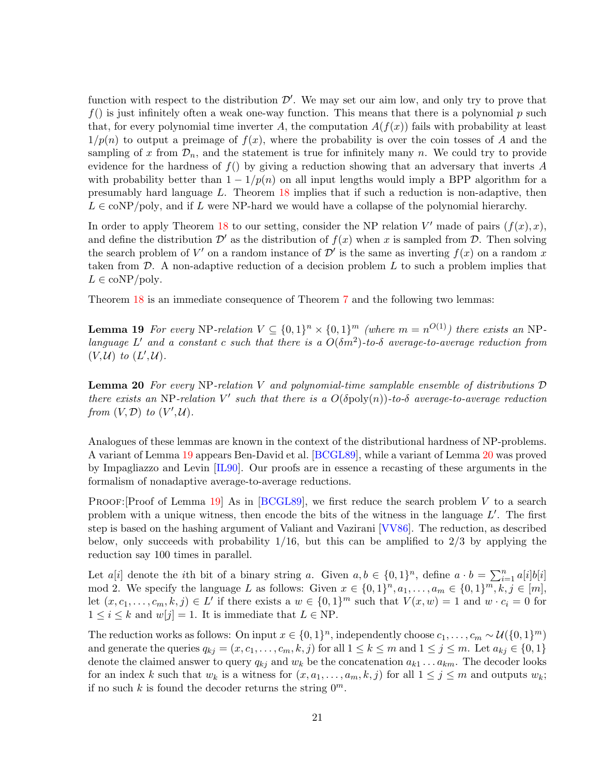<span id="page-20-2"></span>function with respect to the distribution  $\mathcal{D}'$ . We may set our aim low, and only try to prove that  $f()$  is just infinitely often a weak one-way function. This means that there is a polynomial p such that, for every polynomial time inverter A, the computation  $A(f(x))$  fails with probability at least  $1/p(n)$  to output a preimage of  $f(x)$ , where the probability is over the coin tosses of A and the sampling of x from  $\mathcal{D}_n$ , and the statement is true for infinitely many n. We could try to provide evidence for the hardness of  $f()$  by giving a reduction showing that an adversary that inverts A with probability better than  $1 - 1/p(n)$  on all input lengths would imply a BPP algorithm for a presumably hard language L. Theorem [18](#page-19-0) implies that if such a reduction is non-adaptive, then  $L \in \text{coNP}/\text{poly}$ , and if L were NP-hard we would have a collapse of the polynomial hierarchy.

In order to apply Theorem [18](#page-19-0) to our setting, consider the NP relation  $V'$  made of pairs  $(f(x), x)$ , and define the distribution  $\mathcal{D}'$  as the distribution of  $f(x)$  when x is sampled from  $\mathcal{D}$ . Then solving the search problem of V' on a random instance of  $\mathcal{D}'$  is the same as inverting  $f(x)$  on a random x taken from  $\mathcal{D}$ . A non-adaptive reduction of a decision problem  $L$  to such a problem implies that  $L \in \text{coNP}/\text{poly}.$ 

<span id="page-20-0"></span>Theorem [18](#page-19-0) is an immediate consequence of Theorem [7](#page-12-0) and the following two lemmas:

**Lemma 19** For every NP-relation  $V \subseteq \{0,1\}^n \times \{0,1\}^m$  (where  $m = n^{O(1)}$ ) there exists an NPlanguage L' and a constant c such that there is a  $O(\delta m^2)$ -to- $\delta$  average-to-average reduction from  $(V,\mathcal{U})$  to  $(L',\mathcal{U})$ .

<span id="page-20-1"></span>**Lemma 20** For every NP-relation V and polynomial-time samplable ensemble of distributions  $D$ there exists an NP-relation V' such that there is a  $O(\delta \text{poly}(n))$ -to- $\delta$  average-to-average reduction from  $(V, \mathcal{D})$  to  $(V', \mathcal{U})$ .

Analogues of these lemmas are known in the context of the distributional hardness of NP-problems. A variant of Lemma [19](#page-20-0) appears Ben-David et al. [\[BCGL89\]](#page-23-2), while a variant of Lemma [20](#page-20-1) was proved by Impagliazzo and Levin [\[IL90\]](#page-24-10). Our proofs are in essence a recasting of these arguments in the formalism of nonadaptive average-to-average reductions.

PROOF: [Proof of Lemma [19\]](#page-20-0) As in [\[BCGL89\]](#page-23-2), we first reduce the search problem V to a search problem with a unique witness, then encode the bits of the witness in the language  $L'$ . The first step is based on the hashing argument of Valiant and Vazirani [\[VV86\]](#page-25-7). The reduction, as described below, only succeeds with probability  $1/16$ , but this can be amplified to  $2/3$  by applying the reduction say 100 times in parallel.

Let  $a[i]$  denote the *i*th bit of a binary string a. Given  $a, b \in \{0, 1\}^n$ , define  $a \cdot b = \sum_{i=1}^n a[i]b[i]$ mod 2. We specify the language L as follows: Given  $x \in \{0,1\}^n, a_1, \ldots, a_m \in \{0,1\}^m, k, j \in [m],$ let  $(x, c_1, \ldots, c_m, k, j) \in L'$  if there exists a  $w \in \{0, 1\}^m$  such that  $V(x, w) = 1$  and  $w \cdot c_i = 0$  for  $1 \leq i \leq k$  and  $w[j] = 1$ . It is immediate that  $L \in \text{NP}$ .

The reduction works as follows: On input  $x \in \{0,1\}^n$ , independently choose  $c_1, \ldots, c_m \sim \mathcal{U}(\{0,1\}^m)$ and generate the queries  $q_{kj} = (x, c_1, \ldots, c_m, k, j)$  for all  $1 \leq k \leq m$  and  $1 \leq j \leq m$ . Let  $a_{kj} \in \{0, 1\}$ denote the claimed answer to query  $q_{kj}$  and  $w_k$  be the concatenation  $a_{k1} \ldots a_{km}$ . The decoder looks for an index k such that  $w_k$  is a witness for  $(x, a_1, \ldots, a_m, k, j)$  for all  $1 \leq j \leq m$  and outputs  $w_k$ ; if no such k is found the decoder returns the string  $0^m$ .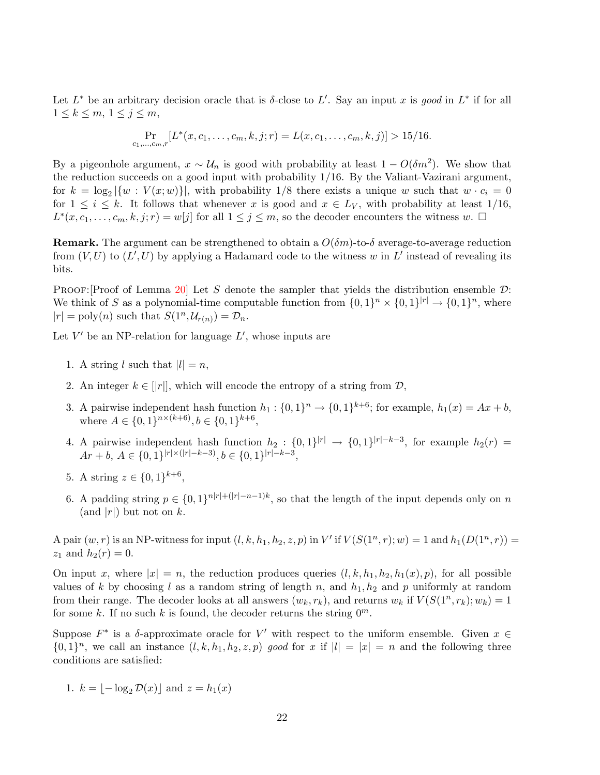Let  $L^*$  be an arbitrary decision oracle that is  $\delta$ -close to  $L'$ . Say an input x is good in  $L^*$  if for all  $1 \leq k \leq m, 1 \leq j \leq m$ ,

$$
\Pr_{c_1,\ldots,c_m,r}[L^*(x,c_1,\ldots,c_m,k,j;r) = L(x,c_1,\ldots,c_m,k,j)] > 15/16.
$$

By a pigeonhole argument,  $x \sim U_n$  is good with probability at least  $1 - O(\delta m^2)$ . We show that the reduction succeeds on a good input with probability 1/16. By the Valiant-Vazirani argument, for  $k = \log_2 |\{w : V(x; w)\}|$ , with probability 1/8 there exists a unique w such that  $w \cdot c_i = 0$ for  $1 \leq i \leq k$ . It follows that whenever x is good and  $x \in L_V$ , with probability at least  $1/16$ ,  $L^*(x, c_1, \ldots, c_m, k, j; r) = w[j]$  for all  $1 \leq j \leq m$ , so the decoder encounters the witness  $w$ .  $\Box$ 

**Remark.** The argument can be strengthened to obtain a  $O(\delta m)$ -to- $\delta$  average-to-average reduction from  $(V, U)$  to  $(L', U)$  by applying a Hadamard code to the witness w in L' instead of revealing its bits.

PROOF: [Proof of Lemma [20\]](#page-20-1) Let S denote the sampler that yields the distribution ensemble  $\mathcal{D}$ : We think of S as a polynomial-time computable function from  $\{0,1\}^n \times \{0,1\}^{|r|} \to \{0,1\}^n$ , where  $|r| = \text{poly}(n)$  such that  $S(1^n, \mathcal{U}_{r(n)}) = \mathcal{D}_n$ .

Let  $V'$  be an NP-relation for language  $L'$ , whose inputs are

- 1. A string l such that  $|l| = n$ ,
- 2. An integer  $k \in ||r||$ , which will encode the entropy of a string from  $\mathcal{D}$ ,
- 3. A pairwise independent hash function  $h_1: \{0,1\}^n \to \{0,1\}^{k+6}$ ; for example,  $h_1(x) = Ax + b$ , where  $A \in \{0,1\}^{n \times (k+6)}, b \in \{0,1\}^{k+6}$ ,
- 4. A pairwise independent hash function  $h_2: \{0,1\}^{|r|} \rightarrow \{0,1\}^{|r|-k-3}$ , for example  $h_2(r)$  $Ar + b, A \in \{0, 1\}^{|r| \times (|r| - k - 3)}, b \in \{0, 1\}^{|r| - k - 3},$
- 5. A string  $z \in \{0,1\}^{k+6}$ ,
- 6. A padding string  $p \in \{0,1\}^{n|r|+(|r|-n-1)k}$ , so that the length of the input depends only on n (and  $|r|$ ) but not on k.

A pair  $(w, r)$  is an NP-witness for input  $(l, k, h_1, h_2, z, p)$  in V' if  $V(S(1^n, r); w) = 1$  and  $h_1(D(1^n, r)) =$  $z_1$  and  $h_2(r) = 0$ .

On input x, where  $|x| = n$ , the reduction produces queries  $(l, k, h_1, h_2, h_1(x), p)$ , for all possible values of k by choosing l as a random string of length n, and  $h_1$ ,  $h_2$  and p uniformly at random from their range. The decoder looks at all answers  $(w_k, r_k)$ , and returns  $w_k$  if  $V(S(1^n, r_k); w_k) = 1$ for some k. If no such k is found, the decoder returns the string  $0^m$ .

Suppose  $F^*$  is a  $\delta$ -approximate oracle for V' with respect to the uniform ensemble. Given  $x \in$  $\{0,1\}^n$ , we call an instance  $(l,k,h_1,h_2,z,p)$  good for x if  $|l|=|x|=n$  and the following three conditions are satisfied:

1.  $k = |- \log_2 \mathcal{D}(x)|$  and  $z = h_1(x)$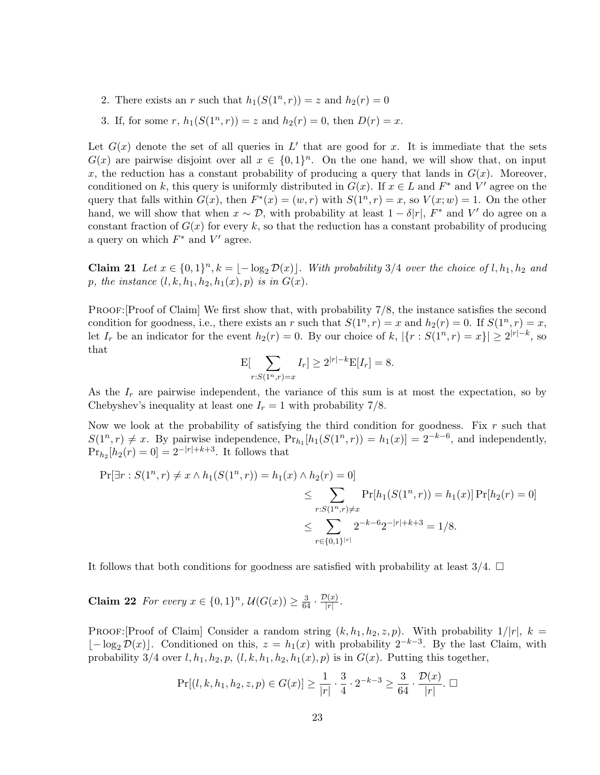- 2. There exists an r such that  $h_1(S(1^n, r)) = z$  and  $h_2(r) = 0$
- 3. If, for some r,  $h_1(S(1^n, r)) = z$  and  $h_2(r) = 0$ , then  $D(r) = x$ .

Let  $G(x)$  denote the set of all queries in L' that are good for x. It is immediate that the sets  $G(x)$  are pairwise disjoint over all  $x \in \{0,1\}^n$ . On the one hand, we will show that, on input x, the reduction has a constant probability of producing a query that lands in  $G(x)$ . Moreover, conditioned on k, this query is uniformly distributed in  $G(x)$ . If  $x \in L$  and  $F^*$  and  $V'$  agree on the query that falls within  $G(x)$ , then  $F^*(x) = (w, r)$  with  $S(1^n, r) = x$ , so  $V(x; w) = 1$ . On the other hand, we will show that when  $x \sim \mathcal{D}$ , with probability at least  $1 - \delta |r|$ ,  $F^*$  and V' do agree on a constant fraction of  $G(x)$  for every k, so that the reduction has a constant probability of producing a query on which  $F^*$  and  $V'$  agree.

**Claim 21** Let  $x \in \{0,1\}^n$ ,  $k = \lfloor -\log_2 \mathcal{D}(x) \rfloor$ . With probability 3/4 over the choice of l,  $h_1, h_2$  and p, the instance  $(l, k, h_1, h_2, h_1(x), p)$  is in  $G(x)$ .

PROOF: Proof of Claim We first show that, with probability  $7/8$ , the instance satisfies the second condition for goodness, i.e., there exists an r such that  $S(1^n, r) = x$  and  $h_2(r) = 0$ . If  $S(1^n, r) = x$ , let  $I_r$  be an indicator for the event  $h_2(r) = 0$ . By our choice of  $k, |\{r : S(1^n, r) = x\}| \geq 2^{|r| - k}$ , so that

$$
\mathcal{E}[\sum_{r:S(1^n,r)=x}I_r] \ge 2^{|r|-k}\mathcal{E}[I_r] = 8.
$$

As the  $I_r$  are pairwise independent, the variance of this sum is at most the expectation, so by Chebyshev's inequality at least one  $I_r = 1$  with probability 7/8.

Now we look at the probability of satisfying the third condition for goodness. Fix  $r$  such that  $S(1^n, r) \neq x$ . By pairwise independence,  $Pr_{h_1}[h_1(S(1^n, r)) = h_1(x)] = 2^{-k-6}$ , and independently,  $Pr_{h_2}[h_2(r) = 0] = 2^{-|r|+k+3}$ . It follows that

$$
\Pr[\exists r : S(1^n, r) \neq x \land h_1(S(1^n, r)) = h_1(x) \land h_2(r) = 0]
$$
  
\n
$$
\leq \sum_{r : S(1^n, r) \neq x} \Pr[h_1(S(1^n, r)) = h_1(x)] \Pr[h_2(r) = 0]
$$
  
\n
$$
\leq \sum_{r \in \{0, 1\}^{|r|}} 2^{-k-6} 2^{-|r|+k+3} = 1/8.
$$

<span id="page-22-0"></span>It follows that both conditions for goodness are satisfied with probability at least  $3/4$ .  $\Box$ 

**Claim 22** For every  $x \in \{0,1\}^n$ ,  $\mathcal{U}(G(x)) \geq \frac{3}{64} \cdot \frac{\mathcal{D}(x)}{|r|}$  $\frac{\eta(x)}{|r|}$ .

PROOF: [Proof of Claim] Consider a random string  $(k, h_1, h_2, z, p)$ . With probability  $1/|r|$ ,  $k =$  $[-\log_2 \mathcal{D}(x)]$ . Conditioned on this,  $z = h_1(x)$  with probability  $2^{-k-3}$ . By the last Claim, with probability 3/4 over l,  $h_1$ ,  $h_2$ ,  $p$ ,  $(l, k, h_1, h_2, h_1(x), p)$  is in  $G(x)$ . Putting this together,

$$
\Pr[(l, k, h_1, h_2, z, p) \in G(x)] \ge \frac{1}{|r|} \cdot \frac{3}{4} \cdot 2^{-k-3} \ge \frac{3}{64} \cdot \frac{\mathcal{D}(x)}{|r|} \cdot \square
$$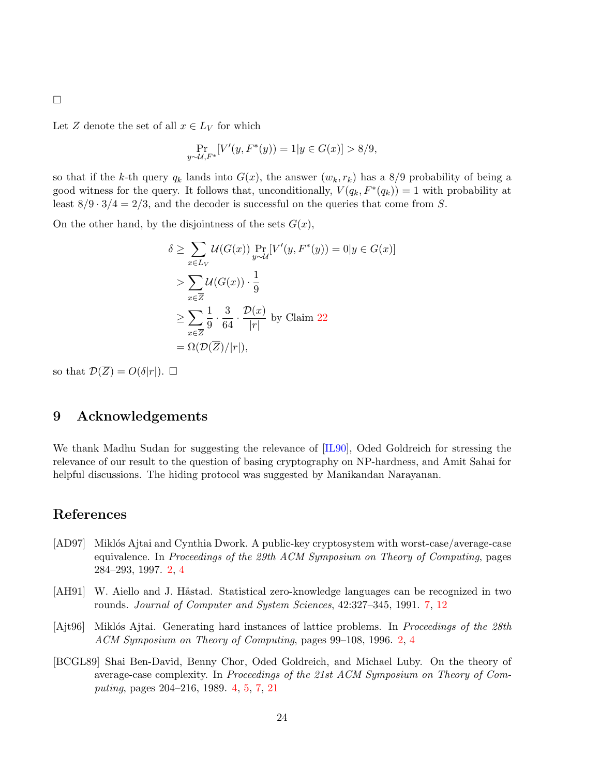<span id="page-23-4"></span> $\Box$ 

Let Z denote the set of all  $x \in L_V$  for which

$$
\Pr_{y \sim \mathcal{U}, F^*}[V'(y, F^*(y)) = 1 | y \in G(x)] > 8/9,
$$

so that if the k-th query  $q_k$  lands into  $G(x)$ , the answer  $(w_k, r_k)$  has a 8/9 probability of being a good witness for the query. It follows that, unconditionally,  $V(q_k, F^*(q_k)) = 1$  with probability at least  $8/9 \cdot 3/4 = 2/3$ , and the decoder is successful on the queries that come from S.

On the other hand, by the disjointness of the sets  $G(x)$ ,

$$
\delta \geq \sum_{x \in L_V} \mathcal{U}(G(x)) \Pr_{y \sim \mathcal{U}}[V'(y, F^*(y)) = 0 | y \in G(x)]
$$
  
> 
$$
\sum_{x \in \overline{Z}} \mathcal{U}(G(x)) \cdot \frac{1}{9}
$$
  

$$
\geq \sum_{x \in \overline{Z}} \frac{1}{9} \cdot \frac{3}{64} \cdot \frac{\mathcal{D}(x)}{|r|} \text{ by Claim 22}
$$
  
=  $\Omega(\mathcal{D}(\overline{Z})/|r|),$ 

so that  $\mathcal{D}(\overline{Z}) = O(\delta|r|)$ .  $\Box$ 

# 9 Acknowledgements

We thank Madhu Sudan for suggesting the relevance of [\[IL90\]](#page-24-10), Oded Goldreich for stressing the relevance of our result to the question of basing cryptography on NP-hardness, and Amit Sahai for helpful discussions. The hiding protocol was suggested by Manikandan Narayanan.

### References

- <span id="page-23-1"></span>[AD97] Miklós Ajtai and Cynthia Dwork. A public-key cryptosystem with worst-case/average-case equivalence. In Proceedings of the 29th ACM Symposium on Theory of Computing, pages 284–293, 1997. [2,](#page-1-2) [4](#page-3-0)
- <span id="page-23-3"></span>[AH91] W. Aiello and J. Håstad. Statistical zero-knowledge languages can be recognized in two rounds. Journal of Computer and System Sciences, 42:327–345, 1991. [7,](#page-6-2) [12](#page-11-1)
- <span id="page-23-0"></span>[Ajt96] Miklós Ajtai. Generating hard instances of lattice problems. In Proceedings of the 28th ACM Symposium on Theory of Computing, pages 99–108, 1996. [2,](#page-1-2) [4](#page-3-0)
- <span id="page-23-2"></span>[BCGL89] Shai Ben-David, Benny Chor, Oded Goldreich, and Michael Luby. On the theory of average-case complexity. In Proceedings of the 21st ACM Symposium on Theory of Computing, pages 204–216, 1989. [4,](#page-3-0) [5,](#page-4-0) [7,](#page-6-2) [21](#page-20-2)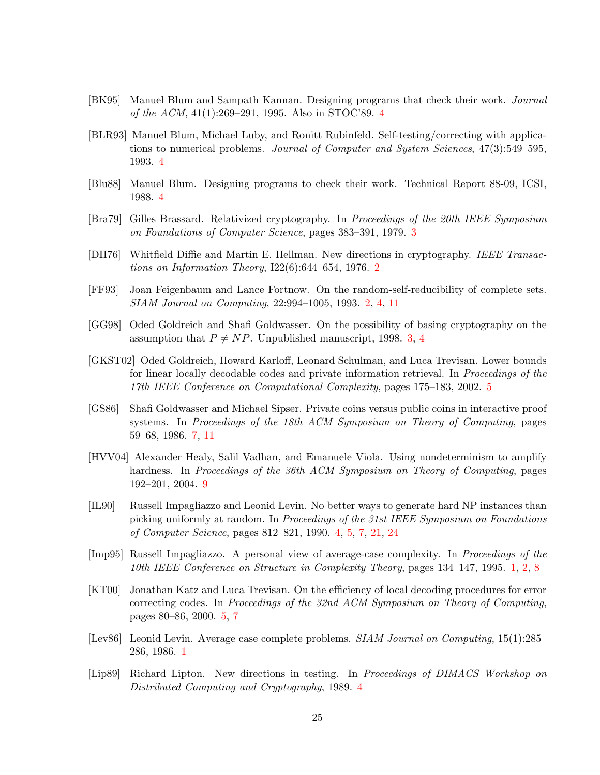- <span id="page-24-9"></span>[BK95] Manuel Blum and Sampath Kannan. Designing programs that check their work. Journal of the ACM, 41(1):269–291, 1995. Also in STOC'89. [4](#page-3-0)
- <span id="page-24-6"></span>[BLR93] Manuel Blum, Michael Luby, and Ronitt Rubinfeld. Self-testing/correcting with applications to numerical problems. Journal of Computer and System Sciences, 47(3):549–595, 1993. [4](#page-3-0)
- <span id="page-24-8"></span>[Blu88] Manuel Blum. Designing programs to check their work. Technical Report 88-09, ICSI, 1988. [4](#page-3-0)
- <span id="page-24-4"></span>[Bra79] Gilles Brassard. Relativized cryptography. In Proceedings of the 20th IEEE Symposium on Foundations of Computer Science, pages 383–391, 1979. [3](#page-2-1)
- <span id="page-24-2"></span>[DH76] Whitfield Diffie and Martin E. Hellman. New directions in cryptography. IEEE Transactions on Information Theory,  $I22(6):644-654$  $I22(6):644-654$  $I22(6):644-654$ , 1976. 2
- <span id="page-24-3"></span>[FF93] Joan Feigenbaum and Lance Fortnow. On the random-self-reducibility of complete sets. SIAM Journal on Computing, 22:994–1005, 1993. [2,](#page-1-2) [4,](#page-3-0) [11](#page-10-2)
- <span id="page-24-5"></span>[GG98] Oded Goldreich and Shafi Goldwasser. On the possibility of basing cryptography on the assumption that  $P \neq NP$ . Unpublished manuscript, 1998. [3,](#page-2-1) [4](#page-3-0)
- <span id="page-24-12"></span>[GKST02] Oded Goldreich, Howard Karloff, Leonard Schulman, and Luca Trevisan. Lower bounds for linear locally decodable codes and private information retrieval. In *Proceedings of the* 17th IEEE Conference on Computational Complexity, pages 175–183, 2002. [5](#page-4-0)
- <span id="page-24-13"></span>[GS86] Shafi Goldwasser and Michael Sipser. Private coins versus public coins in interactive proof systems. In Proceedings of the 18th ACM Symposium on Theory of Computing, pages 59–68, 1986. [7,](#page-6-2) [11](#page-10-2)
- <span id="page-24-14"></span>[HVV04] Alexander Healy, Salil Vadhan, and Emanuele Viola. Using nondeterminism to amplify hardness. In Proceedings of the 36th ACM Symposium on Theory of Computing, pages 192–201, 2004. [9](#page-8-0)
- <span id="page-24-10"></span>[IL90] Russell Impagliazzo and Leonid Levin. No better ways to generate hard NP instances than picking uniformly at random. In Proceedings of the 31st IEEE Symposium on Foundations of Computer Science, pages 812–821, 1990. [4,](#page-3-0) [5,](#page-4-0) [7,](#page-6-2) [21,](#page-20-2) [24](#page-23-4)
- <span id="page-24-1"></span>[Imp95] Russell Impagliazzo. A personal view of average-case complexity. In Proceedings of the 10th IEEE Conference on Structure in Complexity Theory, pages 134–147, 1995. [1,](#page-0-0) [2,](#page-1-2) [8](#page-7-2)
- <span id="page-24-11"></span>[KT00] Jonathan Katz and Luca Trevisan. On the efficiency of local decoding procedures for error correcting codes. In Proceedings of the 32nd ACM Symposium on Theory of Computing, pages 80–86, 2000. [5,](#page-4-0) [7](#page-6-2)
- <span id="page-24-0"></span>[Lev86] Leonid Levin. Average case complete problems. SIAM Journal on Computing, 15(1):285– 286, 1986. [1](#page-0-0)
- <span id="page-24-7"></span>[Lip89] Richard Lipton. New directions in testing. In Proceedings of DIMACS Workshop on Distributed Computing and Cryptography, 1989. [4](#page-3-0)